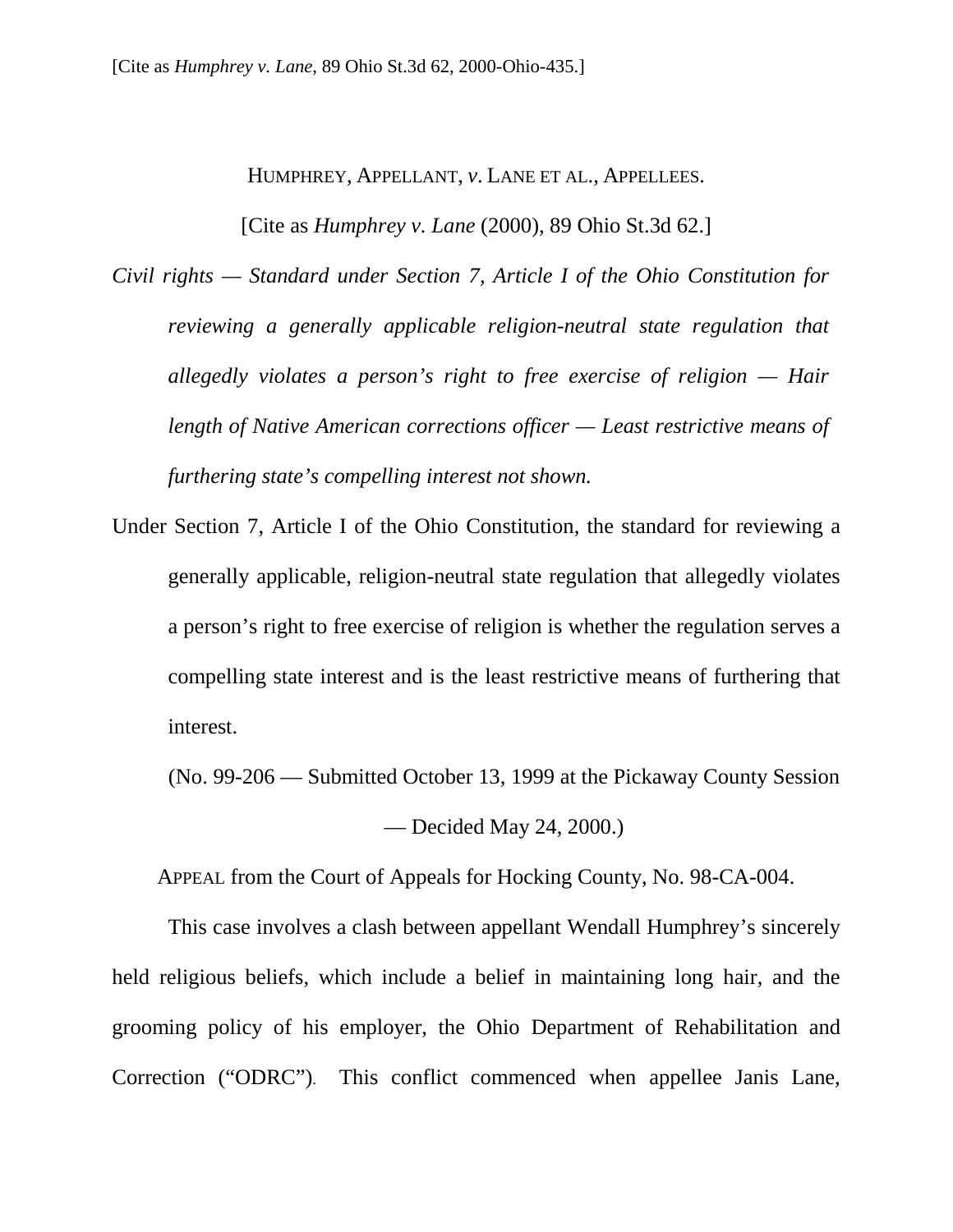HUMPHREY, APPELLANT, *v*. LANE ET AL., APPELLEES.

[Cite as *Humphrey v. Lane* (2000), 89 Ohio St.3d 62.]

- *Civil rights Standard under Section 7, Article I of the Ohio Constitution for reviewing a generally applicable religion-neutral state regulation that allegedly violates a person's right to free exercise of religion — Hair length of Native American corrections officer — Least restrictive means of furthering state's compelling interest not shown.*
- Under Section 7, Article I of the Ohio Constitution, the standard for reviewing a generally applicable, religion-neutral state regulation that allegedly violates a person's right to free exercise of religion is whether the regulation serves a compelling state interest and is the least restrictive means of furthering that interest.

(No. 99-206 — Submitted October 13, 1999 at the Pickaway County Session

— Decided May 24, 2000.)

APPEAL from the Court of Appeals for Hocking County, No. 98-CA-004.

 This case involves a clash between appellant Wendall Humphrey's sincerely held religious beliefs, which include a belief in maintaining long hair, and the grooming policy of his employer, the Ohio Department of Rehabilitation and Correction ("ODRC"). This conflict commenced when appellee Janis Lane,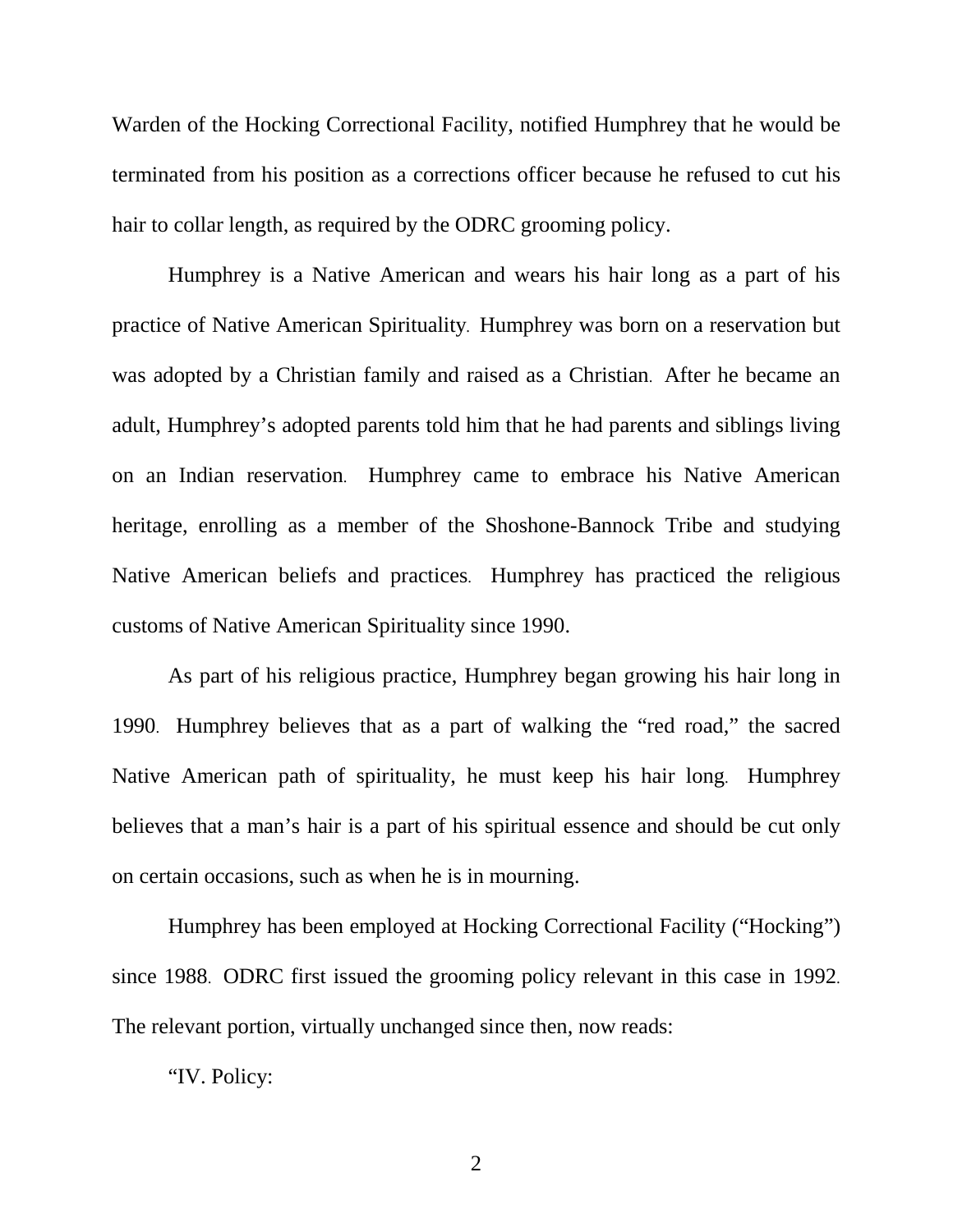Warden of the Hocking Correctional Facility, notified Humphrey that he would be terminated from his position as a corrections officer because he refused to cut his hair to collar length, as required by the ODRC grooming policy.

 Humphrey is a Native American and wears his hair long as a part of his practice of Native American Spirituality. Humphrey was born on a reservation but was adopted by a Christian family and raised as a Christian. After he became an adult, Humphrey's adopted parents told him that he had parents and siblings living on an Indian reservation. Humphrey came to embrace his Native American heritage, enrolling as a member of the Shoshone-Bannock Tribe and studying Native American beliefs and practices. Humphrey has practiced the religious customs of Native American Spirituality since 1990.

 As part of his religious practice, Humphrey began growing his hair long in 1990. Humphrey believes that as a part of walking the "red road," the sacred Native American path of spirituality, he must keep his hair long. Humphrey believes that a man's hair is a part of his spiritual essence and should be cut only on certain occasions, such as when he is in mourning.

 Humphrey has been employed at Hocking Correctional Facility ("Hocking") since 1988. ODRC first issued the grooming policy relevant in this case in 1992. The relevant portion, virtually unchanged since then, now reads:

"IV. Policy: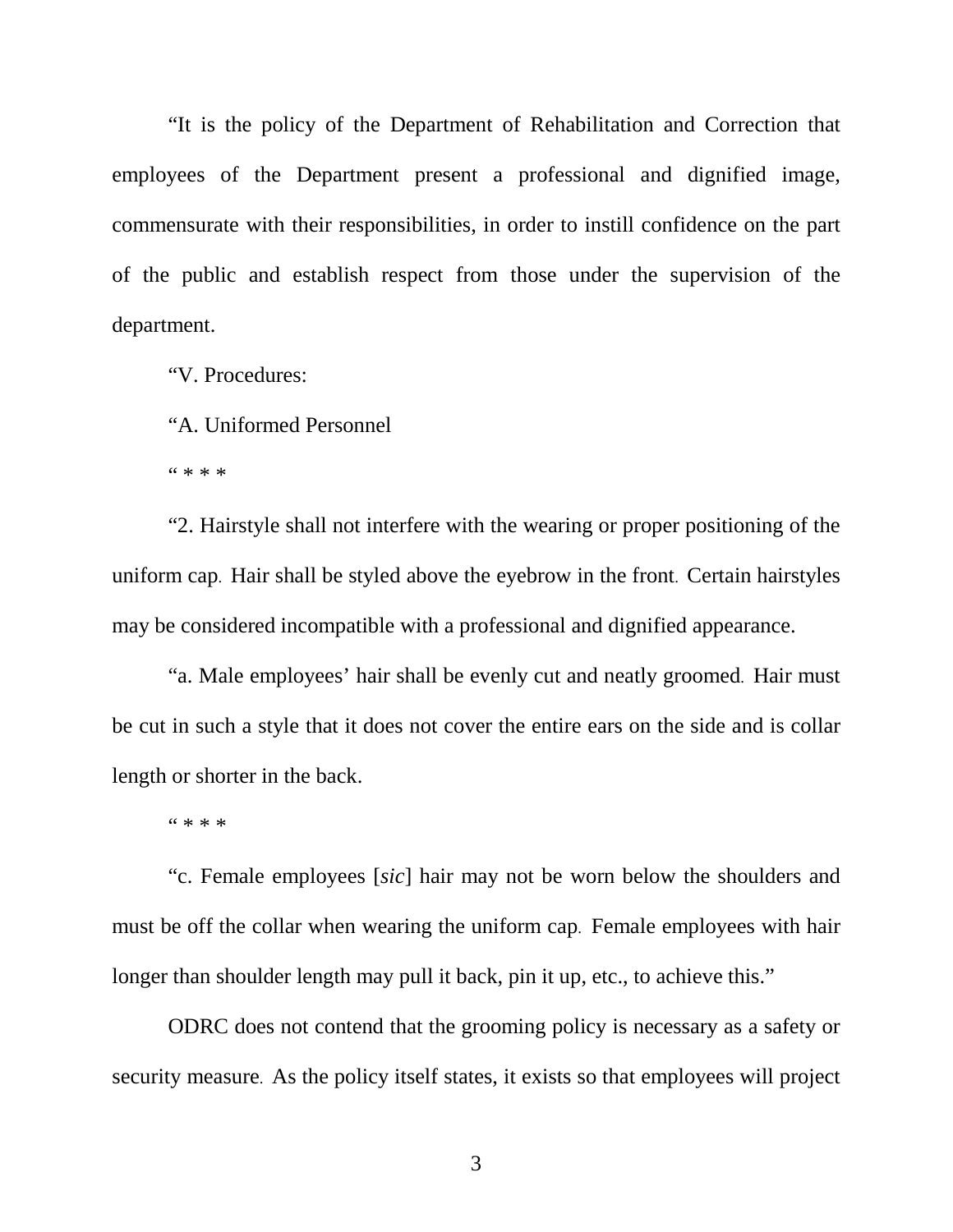"It is the policy of the Department of Rehabilitation and Correction that employees of the Department present a professional and dignified image, commensurate with their responsibilities, in order to instill confidence on the part of the public and establish respect from those under the supervision of the department.

"V. Procedures:

"A. Uniformed Personnel

 $4$  \* \* \*

 "2. Hairstyle shall not interfere with the wearing or proper positioning of the uniform cap. Hair shall be styled above the eyebrow in the front. Certain hairstyles may be considered incompatible with a professional and dignified appearance.

 "a. Male employees' hair shall be evenly cut and neatly groomed. Hair must be cut in such a style that it does not cover the entire ears on the side and is collar length or shorter in the back.

" \* \* \*

 "c. Female employees [*sic*] hair may not be worn below the shoulders and must be off the collar when wearing the uniform cap. Female employees with hair longer than shoulder length may pull it back, pin it up, etc., to achieve this."

 ODRC does not contend that the grooming policy is necessary as a safety or security measure. As the policy itself states, it exists so that employees will project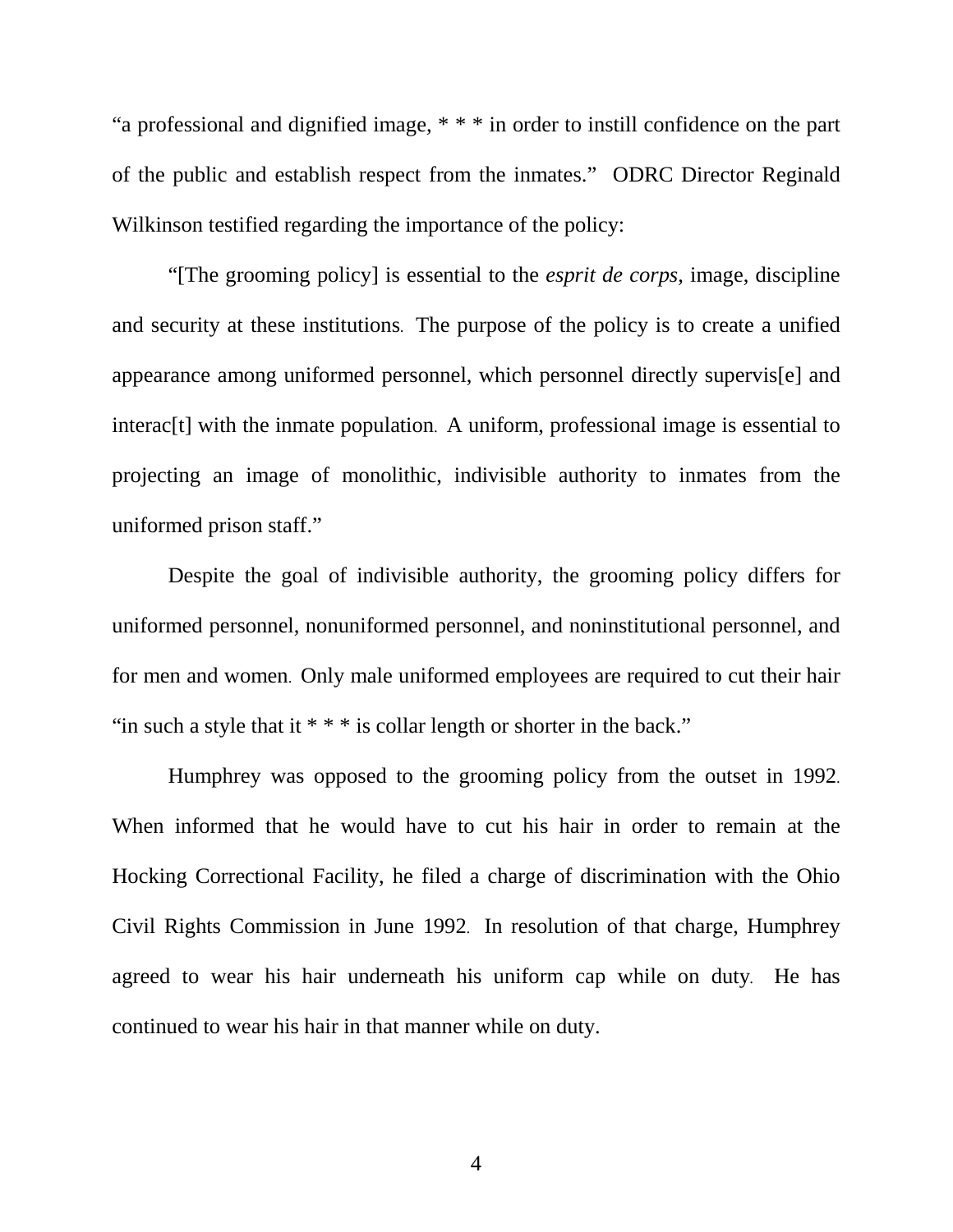"a professional and dignified image, \* \* \* in order to instill confidence on the part of the public and establish respect from the inmates." ODRC Director Reginald Wilkinson testified regarding the importance of the policy:

 "[The grooming policy] is essential to the *esprit de corps*, image, discipline and security at these institutions. The purpose of the policy is to create a unified appearance among uniformed personnel, which personnel directly supervis[e] and interac[t] with the inmate population. A uniform, professional image is essential to projecting an image of monolithic, indivisible authority to inmates from the uniformed prison staff."

 Despite the goal of indivisible authority, the grooming policy differs for uniformed personnel, nonuniformed personnel, and noninstitutional personnel, and for men and women. Only male uniformed employees are required to cut their hair "in such a style that it  $***$  is collar length or shorter in the back."

 Humphrey was opposed to the grooming policy from the outset in 1992. When informed that he would have to cut his hair in order to remain at the Hocking Correctional Facility, he filed a charge of discrimination with the Ohio Civil Rights Commission in June 1992. In resolution of that charge, Humphrey agreed to wear his hair underneath his uniform cap while on duty. He has continued to wear his hair in that manner while on duty.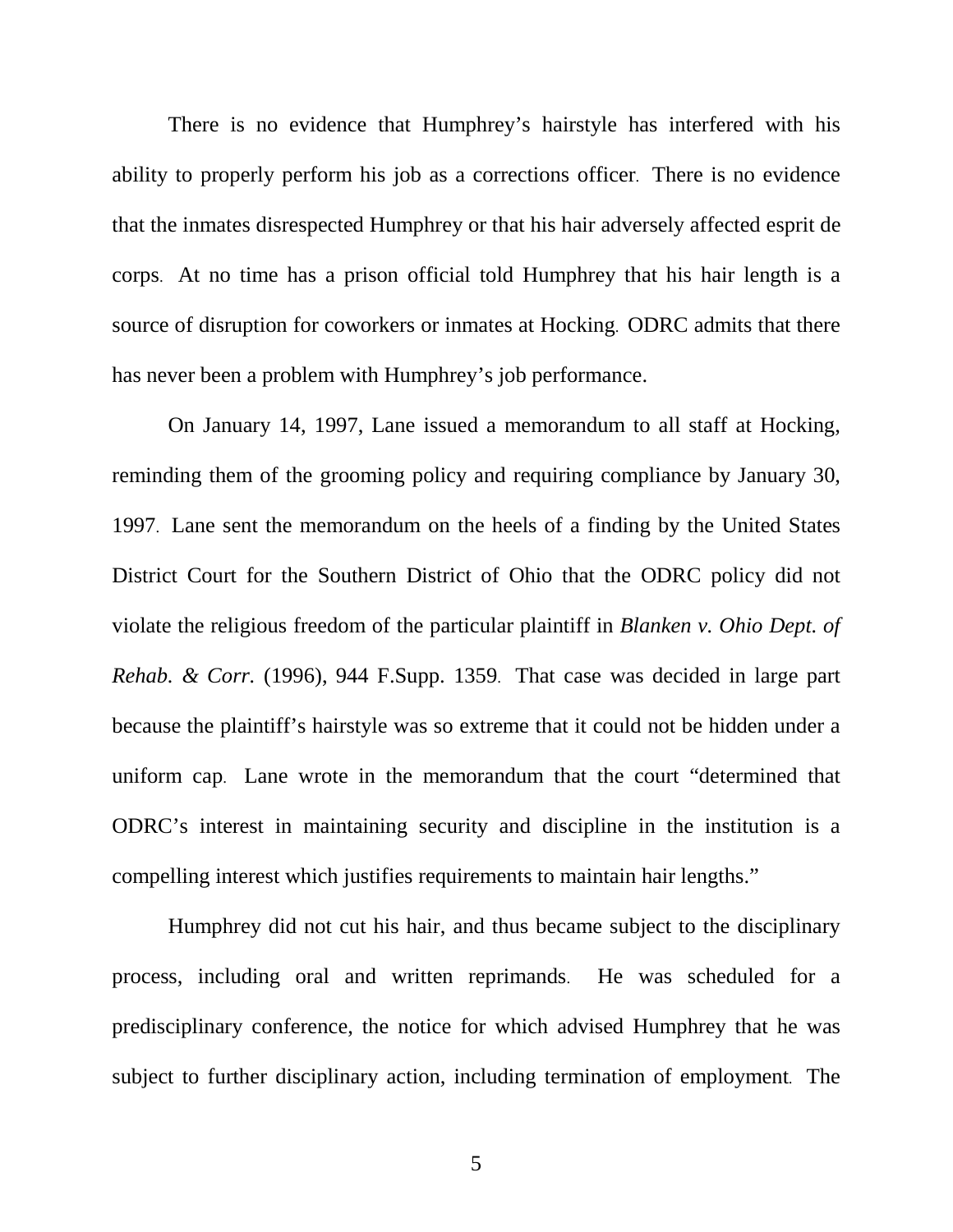There is no evidence that Humphrey's hairstyle has interfered with his ability to properly perform his job as a corrections officer. There is no evidence that the inmates disrespected Humphrey or that his hair adversely affected esprit de corps. At no time has a prison official told Humphrey that his hair length is a source of disruption for coworkers or inmates at Hocking. ODRC admits that there has never been a problem with Humphrey's job performance.

 On January 14, 1997, Lane issued a memorandum to all staff at Hocking, reminding them of the grooming policy and requiring compliance by January 30, 1997. Lane sent the memorandum on the heels of a finding by the United States District Court for the Southern District of Ohio that the ODRC policy did not violate the religious freedom of the particular plaintiff in *Blanken v. Ohio Dept. of Rehab. & Corr.* (1996), 944 F.Supp. 1359. That case was decided in large part because the plaintiff's hairstyle was so extreme that it could not be hidden under a uniform cap. Lane wrote in the memorandum that the court "determined that ODRC's interest in maintaining security and discipline in the institution is a compelling interest which justifies requirements to maintain hair lengths."

 Humphrey did not cut his hair, and thus became subject to the disciplinary process, including oral and written reprimands. He was scheduled for a predisciplinary conference, the notice for which advised Humphrey that he was subject to further disciplinary action, including termination of employment. The

 $\sim$  5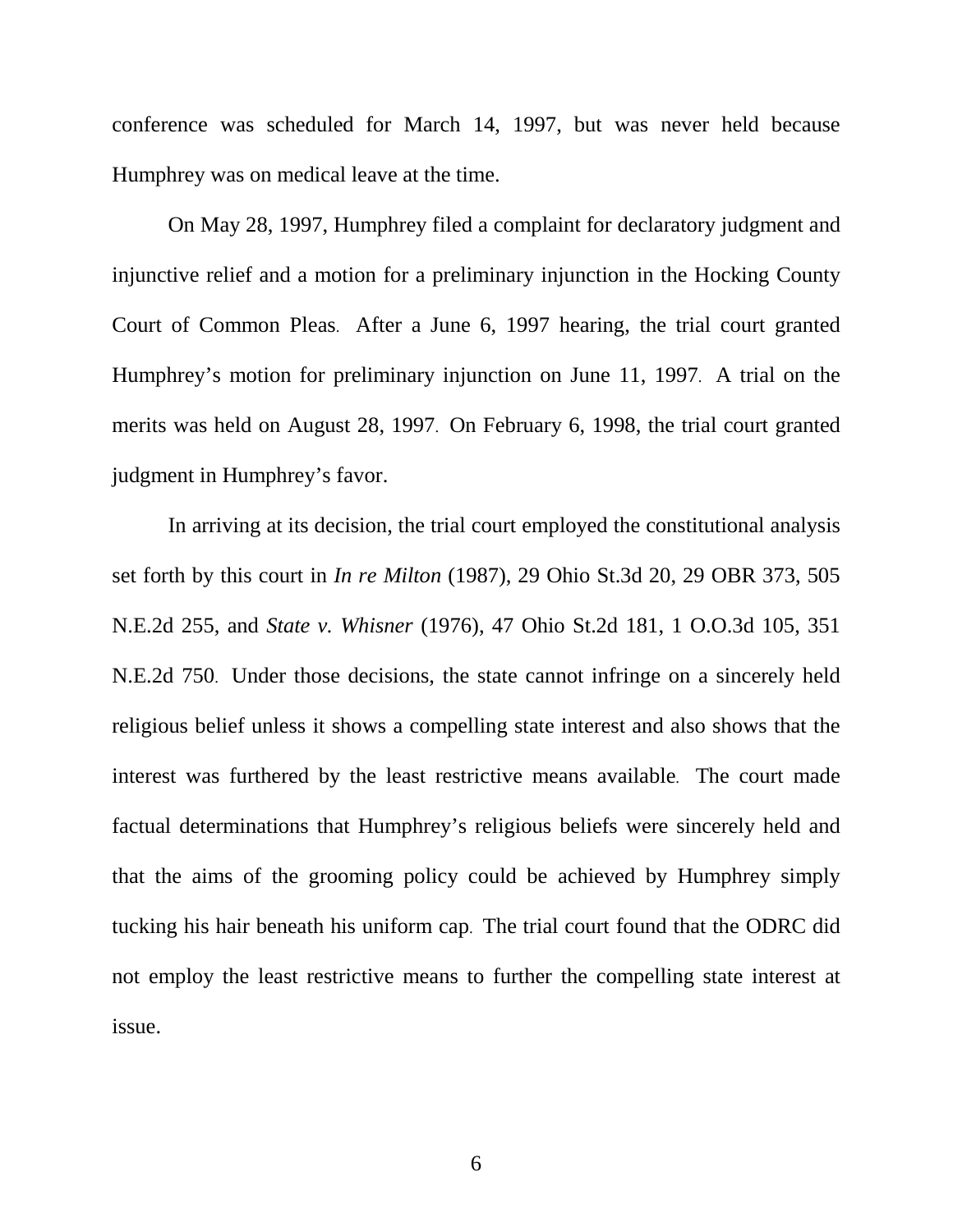conference was scheduled for March 14, 1997, but was never held because Humphrey was on medical leave at the time.

 On May 28, 1997, Humphrey filed a complaint for declaratory judgment and injunctive relief and a motion for a preliminary injunction in the Hocking County Court of Common Pleas. After a June 6, 1997 hearing, the trial court granted Humphrey's motion for preliminary injunction on June 11, 1997. A trial on the merits was held on August 28, 1997. On February 6, 1998, the trial court granted judgment in Humphrey's favor.

 In arriving at its decision, the trial court employed the constitutional analysis set forth by this court in *In re Milton* (1987), 29 Ohio St.3d 20, 29 OBR 373, 505 N.E.2d 255, and *State v. Whisner* (1976), 47 Ohio St.2d 181, 1 O.O.3d 105, 351 N.E.2d 750. Under those decisions, the state cannot infringe on a sincerely held religious belief unless it shows a compelling state interest and also shows that the interest was furthered by the least restrictive means available. The court made factual determinations that Humphrey's religious beliefs were sincerely held and that the aims of the grooming policy could be achieved by Humphrey simply tucking his hair beneath his uniform cap. The trial court found that the ODRC did not employ the least restrictive means to further the compelling state interest at issue.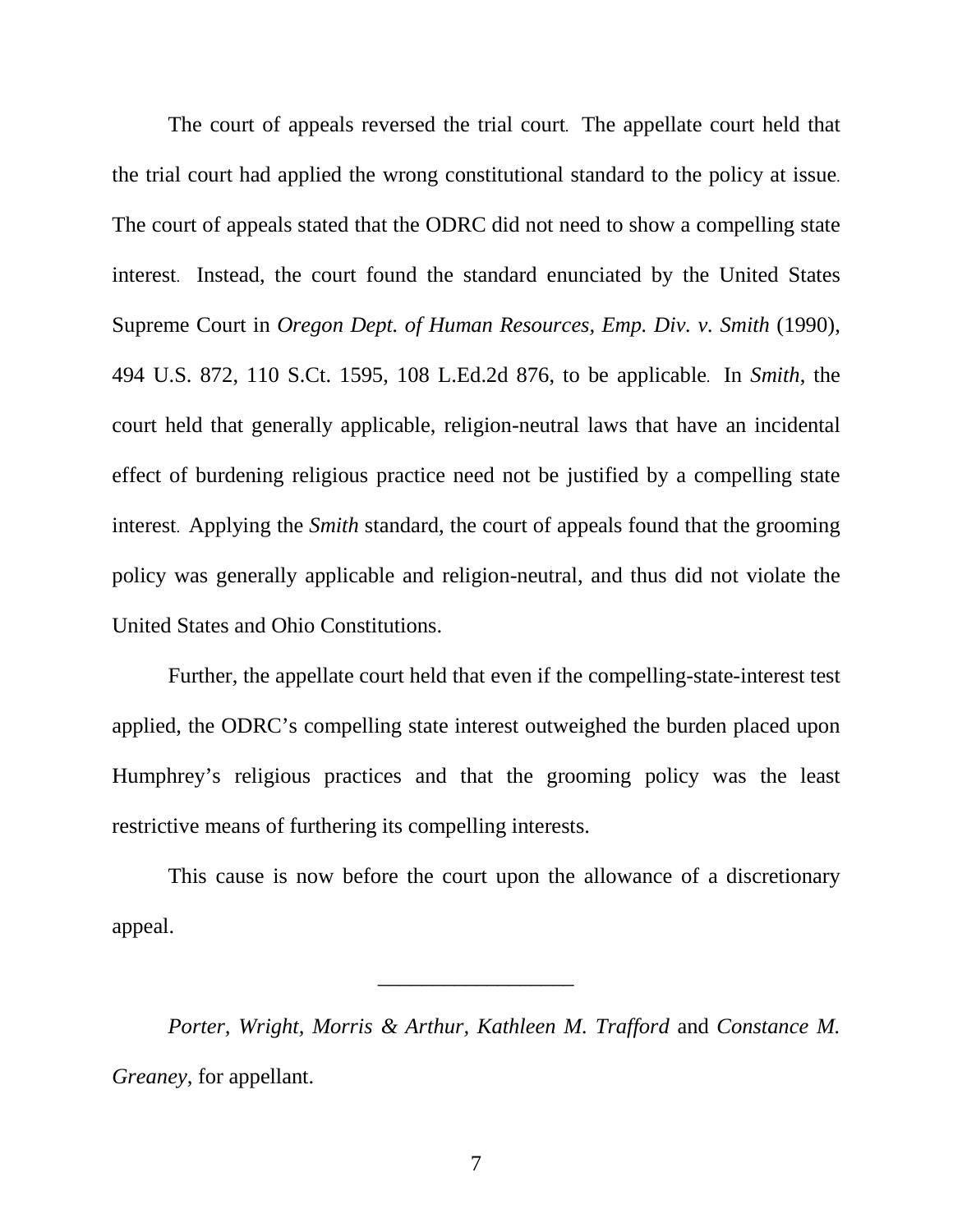The court of appeals reversed the trial court. The appellate court held that the trial court had applied the wrong constitutional standard to the policy at issue. The court of appeals stated that the ODRC did not need to show a compelling state interest. Instead, the court found the standard enunciated by the United States Supreme Court in *Oregon Dept. of Human Resources, Emp. Div. v. Smith* (1990), 494 U.S. 872, 110 S.Ct. 1595, 108 L.Ed.2d 876, to be applicable. In *Smith*, the court held that generally applicable, religion-neutral laws that have an incidental effect of burdening religious practice need not be justified by a compelling state interest. Applying the *Smith* standard, the court of appeals found that the grooming policy was generally applicable and religion-neutral, and thus did not violate the United States and Ohio Constitutions.

 Further, the appellate court held that even if the compelling-state-interest test applied, the ODRC's compelling state interest outweighed the burden placed upon Humphrey's religious practices and that the grooming policy was the least restrictive means of furthering its compelling interests.

 This cause is now before the court upon the allowance of a discretionary appeal.

\_\_\_\_\_\_\_\_\_\_\_\_\_\_\_\_\_\_

*Porter, Wright, Morris & Arthur, Kathleen M. Trafford* and *Constance M. Greaney*, for appellant.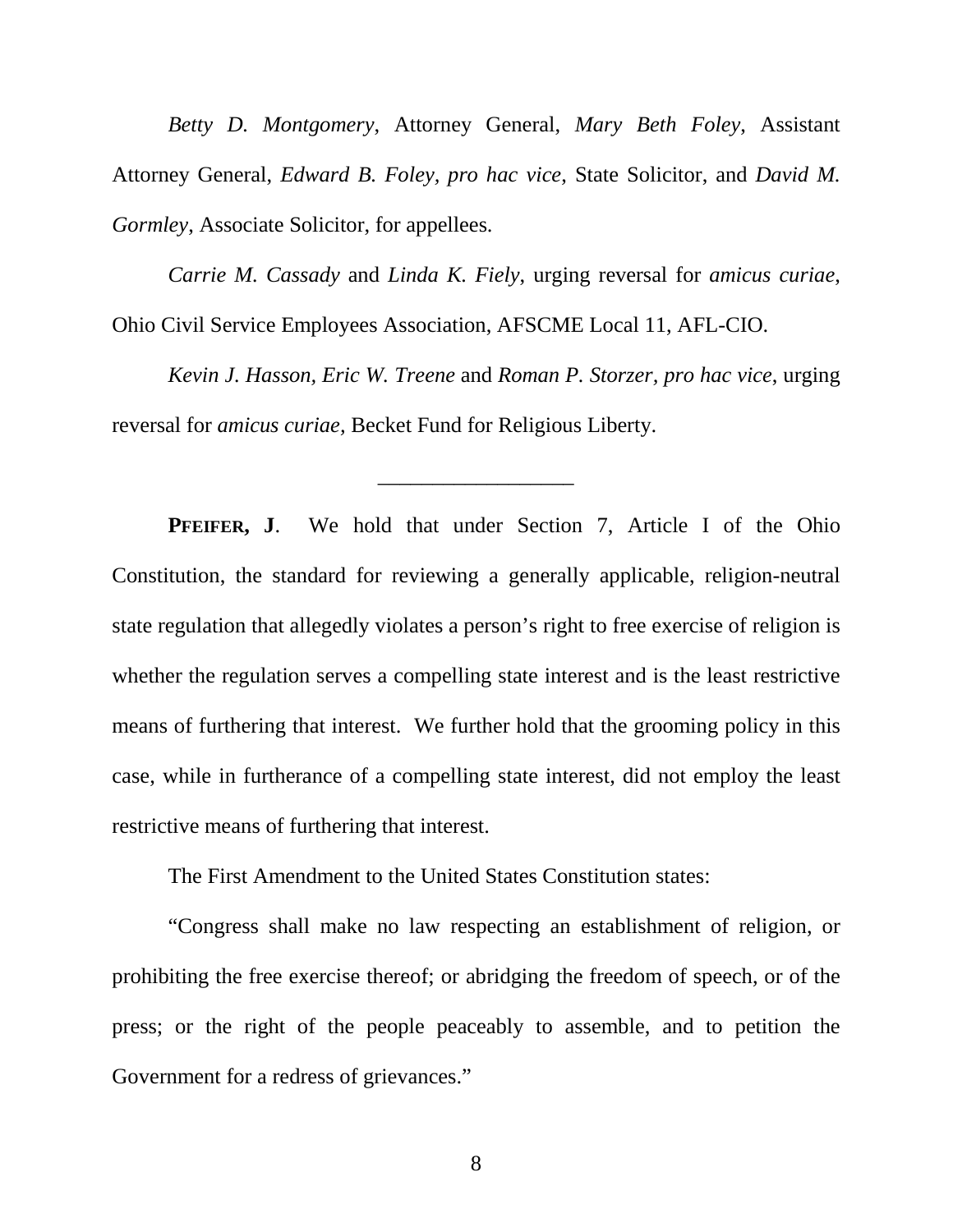*Betty D. Montgomery*, Attorney General, *Mary Beth Foley*, Assistant Attorney General, *Edward B. Foley, pro hac vice*, State Solicitor, and *David M. Gormley*, Associate Solicitor, for appellees.

*Carrie M. Cassady* and *Linda K. Fiely*, urging reversal for *amicus curiae*, Ohio Civil Service Employees Association, AFSCME Local 11, AFL-CIO.

*Kevin J. Hasson, Eric W. Treene* and *Roman P. Storzer, pro hac vice*, urging reversal for *amicus curiae,* Becket Fund for Religious Liberty.

\_\_\_\_\_\_\_\_\_\_\_\_\_\_\_\_\_\_

 **PFEIFER, J**. We hold that under Section 7, Article I of the Ohio Constitution, the standard for reviewing a generally applicable, religion-neutral state regulation that allegedly violates a person's right to free exercise of religion is whether the regulation serves a compelling state interest and is the least restrictive means of furthering that interest. We further hold that the grooming policy in this case, while in furtherance of a compelling state interest, did not employ the least restrictive means of furthering that interest.

The First Amendment to the United States Constitution states:

 "Congress shall make no law respecting an establishment of religion, or prohibiting the free exercise thereof; or abridging the freedom of speech, or of the press; or the right of the people peaceably to assemble, and to petition the Government for a redress of grievances."

8 and 2012 and 3 and 3 and 3 and 3 and 3 and 3 and 3 and 3 and 3 and 3 and 3 and 3 and 3 and 3 and 3 and 3 and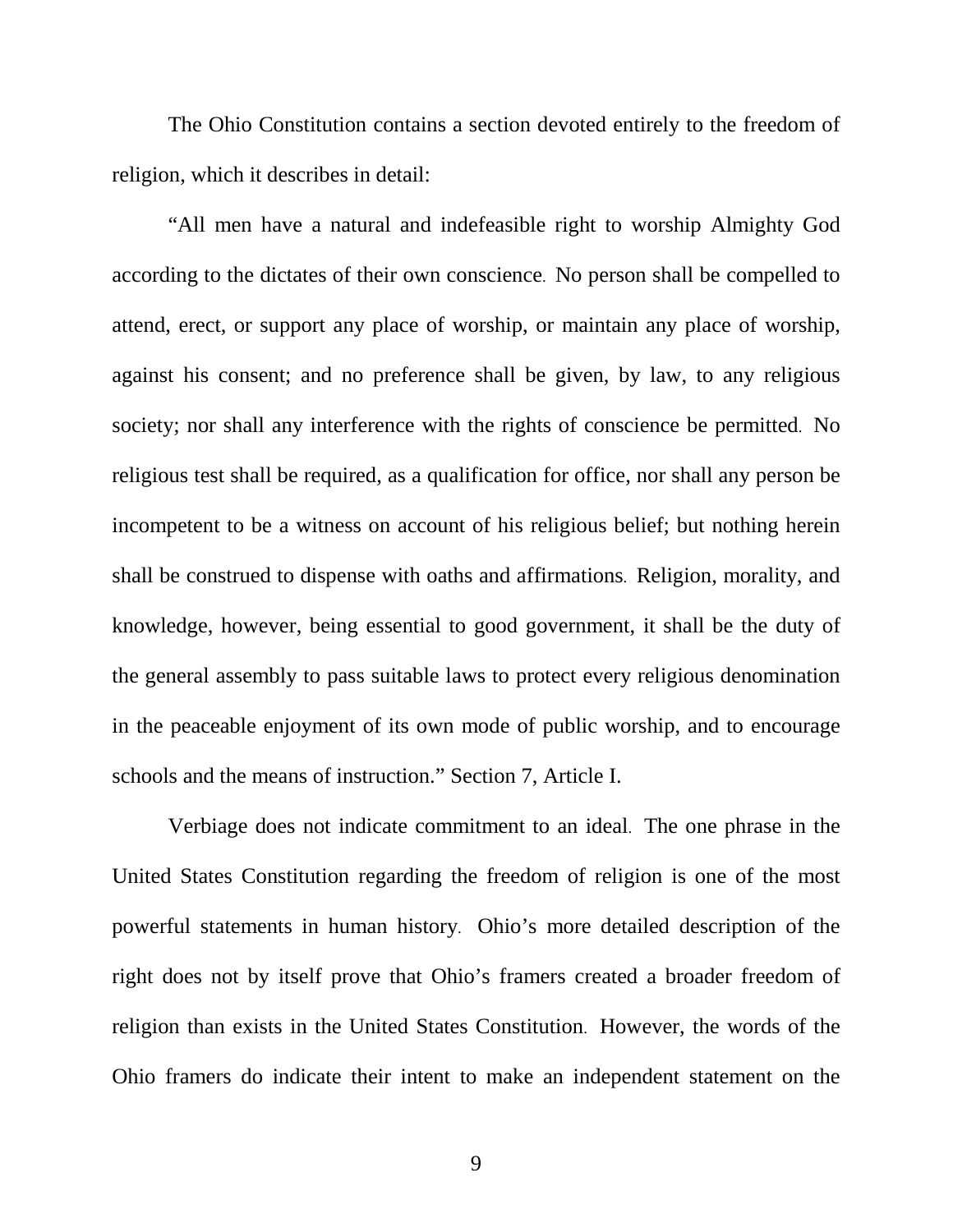The Ohio Constitution contains a section devoted entirely to the freedom of religion, which it describes in detail:

 "All men have a natural and indefeasible right to worship Almighty God according to the dictates of their own conscience. No person shall be compelled to attend, erect, or support any place of worship, or maintain any place of worship, against his consent; and no preference shall be given, by law, to any religious society; nor shall any interference with the rights of conscience be permitted. No religious test shall be required, as a qualification for office, nor shall any person be incompetent to be a witness on account of his religious belief; but nothing herein shall be construed to dispense with oaths and affirmations. Religion, morality, and knowledge, however, being essential to good government, it shall be the duty of the general assembly to pass suitable laws to protect every religious denomination in the peaceable enjoyment of its own mode of public worship, and to encourage schools and the means of instruction." Section 7, Article I.

 Verbiage does not indicate commitment to an ideal. The one phrase in the United States Constitution regarding the freedom of religion is one of the most powerful statements in human history. Ohio's more detailed description of the right does not by itself prove that Ohio's framers created a broader freedom of religion than exists in the United States Constitution. However, the words of the Ohio framers do indicate their intent to make an independent statement on the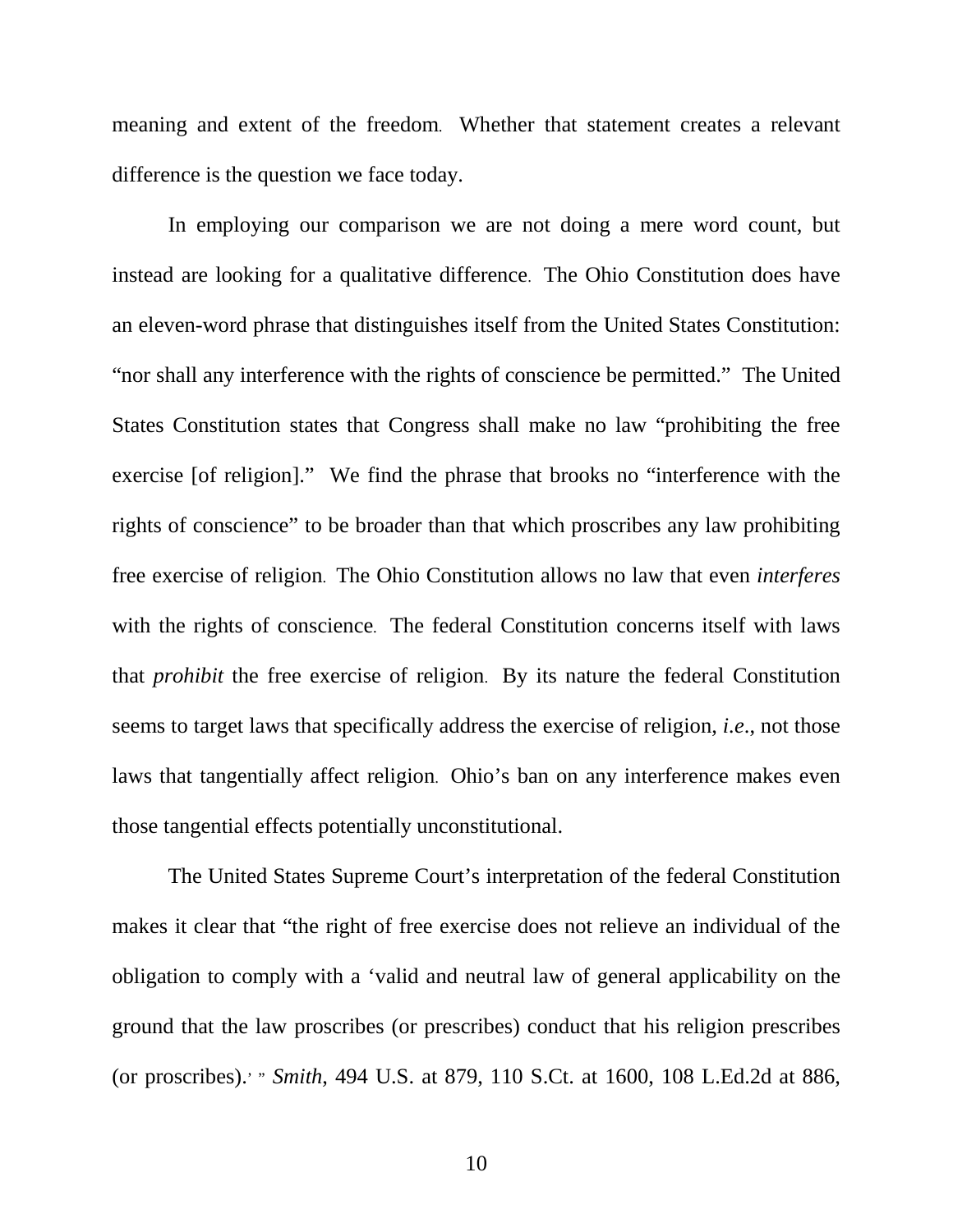meaning and extent of the freedom. Whether that statement creates a relevant difference is the question we face today.

 In employing our comparison we are not doing a mere word count, but instead are looking for a qualitative difference. The Ohio Constitution does have an eleven-word phrase that distinguishes itself from the United States Constitution: "nor shall any interference with the rights of conscience be permitted." The United States Constitution states that Congress shall make no law "prohibiting the free exercise [of religion]." We find the phrase that brooks no "interference with the rights of conscience" to be broader than that which proscribes any law prohibiting free exercise of religion. The Ohio Constitution allows no law that even *interferes* with the rights of conscience. The federal Constitution concerns itself with laws that *prohibit* the free exercise of religion. By its nature the federal Constitution seems to target laws that specifically address the exercise of religion, *i.e*., not those laws that tangentially affect religion. Ohio's ban on any interference makes even those tangential effects potentially unconstitutional.

 The United States Supreme Court's interpretation of the federal Constitution makes it clear that "the right of free exercise does not relieve an individual of the obligation to comply with a 'valid and neutral law of general applicability on the ground that the law proscribes (or prescribes) conduct that his religion prescribes (or proscribes).' " *Smith*, 494 U.S. at 879, 110 S.Ct. at 1600, 108 L.Ed.2d at 886,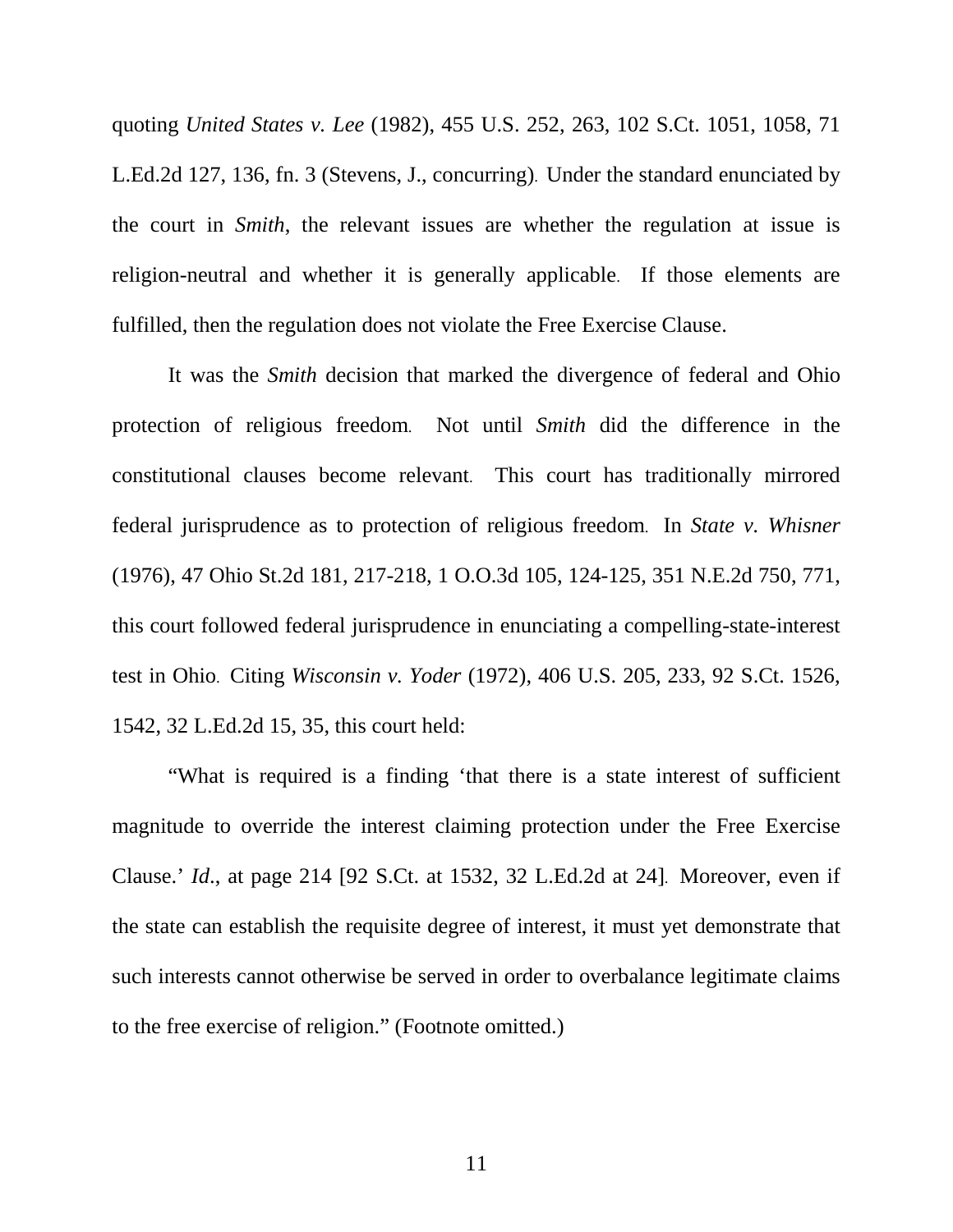quoting *United States v. Lee* (1982), 455 U.S. 252, 263, 102 S.Ct. 1051, 1058, 71 L.Ed.2d 127, 136, fn. 3 (Stevens, J., concurring). Under the standard enunciated by the court in *Smith*, the relevant issues are whether the regulation at issue is religion-neutral and whether it is generally applicable. If those elements are fulfilled, then the regulation does not violate the Free Exercise Clause.

 It was the *Smith* decision that marked the divergence of federal and Ohio protection of religious freedom. Not until *Smith* did the difference in the constitutional clauses become relevant. This court has traditionally mirrored federal jurisprudence as to protection of religious freedom. In *State v. Whisner* (1976), 47 Ohio St.2d 181, 217-218, 1 O.O.3d 105, 124-125, 351 N.E.2d 750, 771, this court followed federal jurisprudence in enunciating a compelling-state-interest test in Ohio. Citing *Wisconsin v. Yoder* (1972), 406 U.S. 205, 233, 92 S.Ct. 1526, 1542, 32 L.Ed.2d 15, 35, this court held:

 "What is required is a finding 'that there is a state interest of sufficient magnitude to override the interest claiming protection under the Free Exercise Clause.' *Id*., at page 214 [92 S.Ct. at 1532, 32 L.Ed.2d at 24]. Moreover, even if the state can establish the requisite degree of interest, it must yet demonstrate that such interests cannot otherwise be served in order to overbalance legitimate claims to the free exercise of religion." (Footnote omitted.)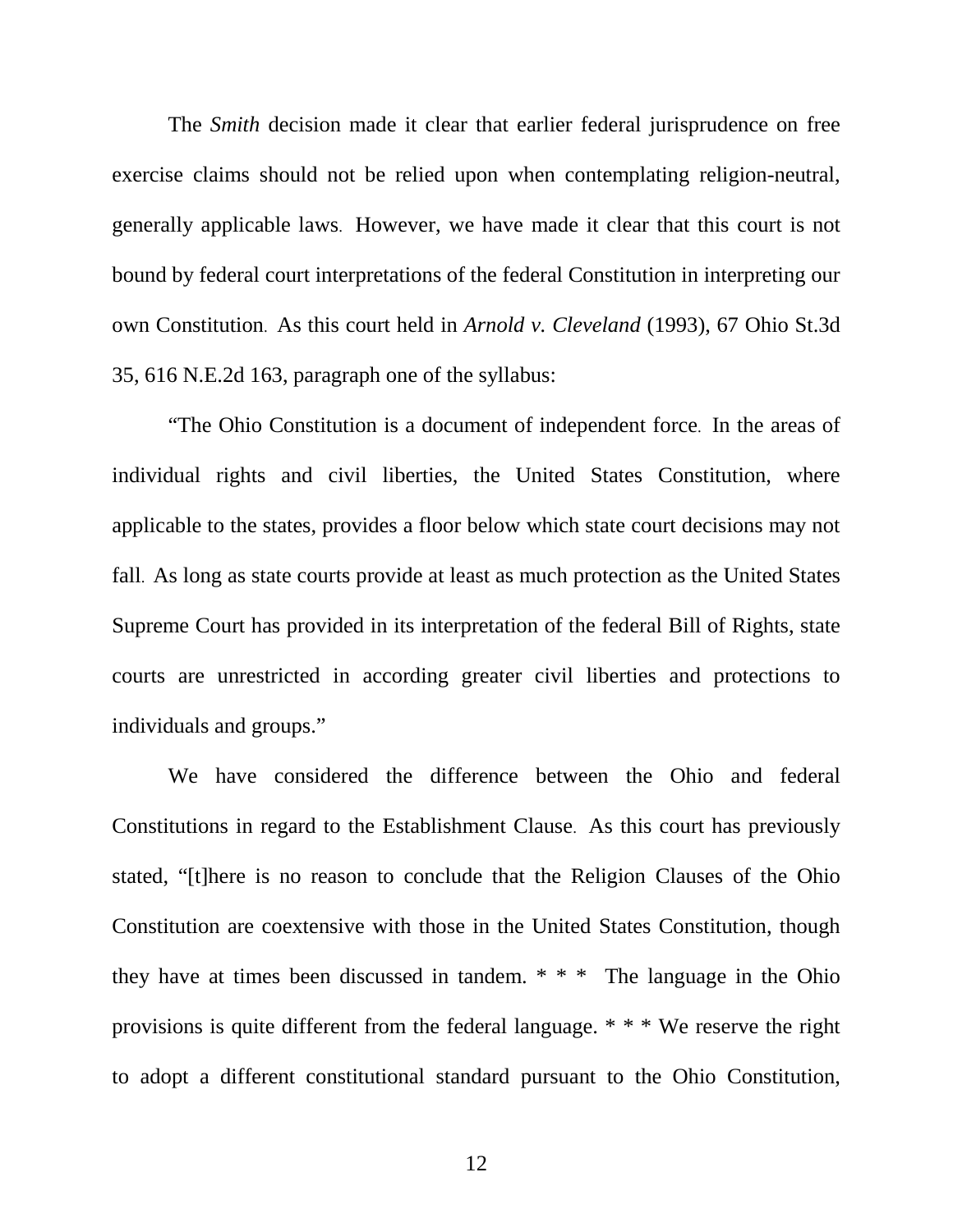The *Smith* decision made it clear that earlier federal jurisprudence on free exercise claims should not be relied upon when contemplating religion-neutral, generally applicable laws. However, we have made it clear that this court is not bound by federal court interpretations of the federal Constitution in interpreting our own Constitution. As this court held in *Arnold v. Cleveland* (1993), 67 Ohio St.3d 35, 616 N.E.2d 163, paragraph one of the syllabus:

 "The Ohio Constitution is a document of independent force. In the areas of individual rights and civil liberties, the United States Constitution, where applicable to the states, provides a floor below which state court decisions may not fall. As long as state courts provide at least as much protection as the United States Supreme Court has provided in its interpretation of the federal Bill of Rights, state courts are unrestricted in according greater civil liberties and protections to individuals and groups."

 We have considered the difference between the Ohio and federal Constitutions in regard to the Establishment Clause. As this court has previously stated, "[t]here is no reason to conclude that the Religion Clauses of the Ohio Constitution are coextensive with those in the United States Constitution, though they have at times been discussed in tandem. \* \* \* The language in the Ohio provisions is quite different from the federal language. \* \* \* We reserve the right to adopt a different constitutional standard pursuant to the Ohio Constitution,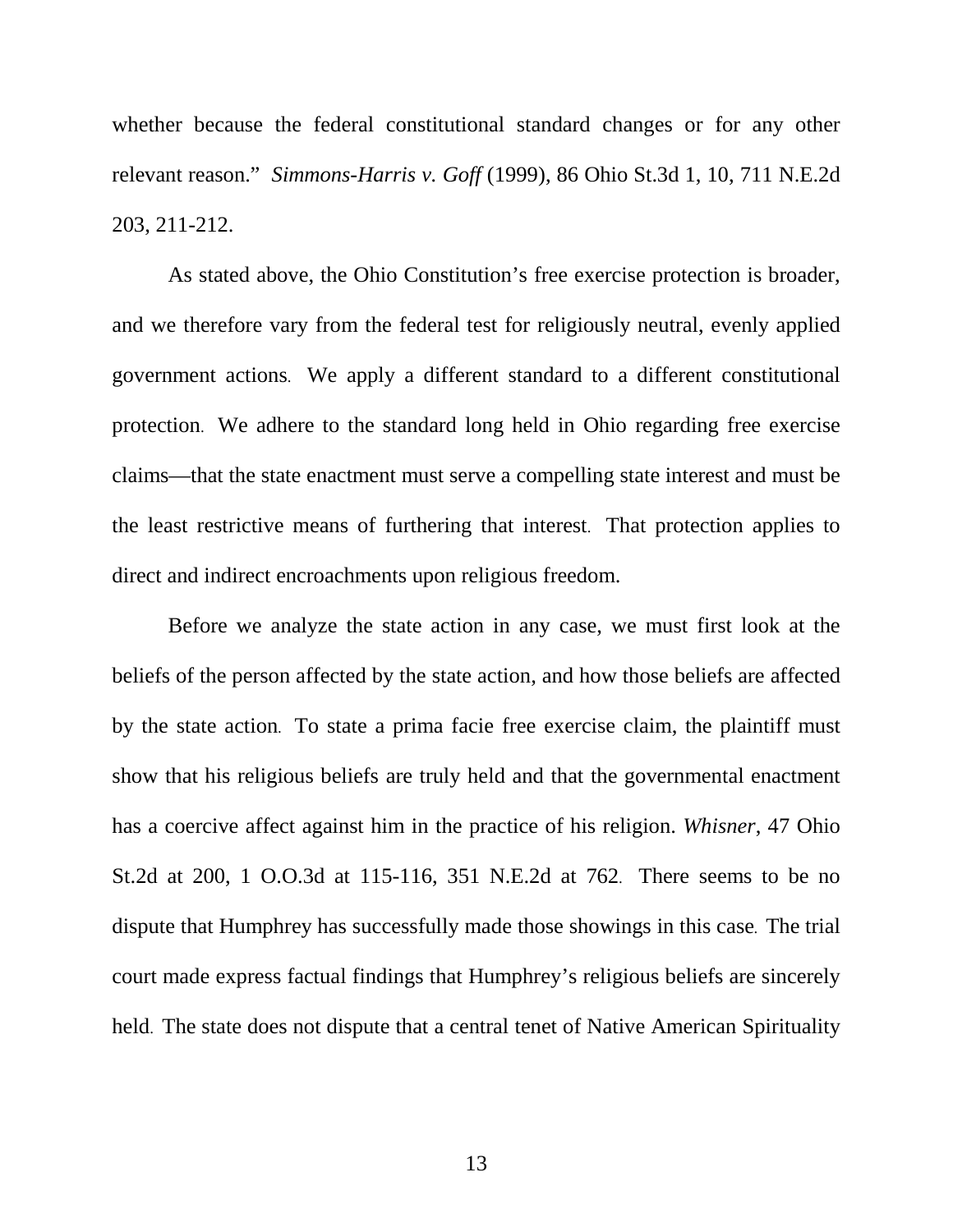whether because the federal constitutional standard changes or for any other relevant reason." *Simmons-Harris v. Goff* (1999), 86 Ohio St.3d 1, 10, 711 N.E.2d 203, 211-212.

 As stated above, the Ohio Constitution's free exercise protection is broader, and we therefore vary from the federal test for religiously neutral, evenly applied government actions. We apply a different standard to a different constitutional protection. We adhere to the standard long held in Ohio regarding free exercise claims—that the state enactment must serve a compelling state interest and must be the least restrictive means of furthering that interest. That protection applies to direct and indirect encroachments upon religious freedom.

Before we analyze the state action in any case, we must first look at the beliefs of the person affected by the state action, and how those beliefs are affected by the state action. To state a prima facie free exercise claim, the plaintiff must show that his religious beliefs are truly held and that the governmental enactment has a coercive affect against him in the practice of his religion. *Whisner*, 47 Ohio St.2d at 200, 1 O.O.3d at 115-116, 351 N.E.2d at 762. There seems to be no dispute that Humphrey has successfully made those showings in this case. The trial court made express factual findings that Humphrey's religious beliefs are sincerely held. The state does not dispute that a central tenet of Native American Spirituality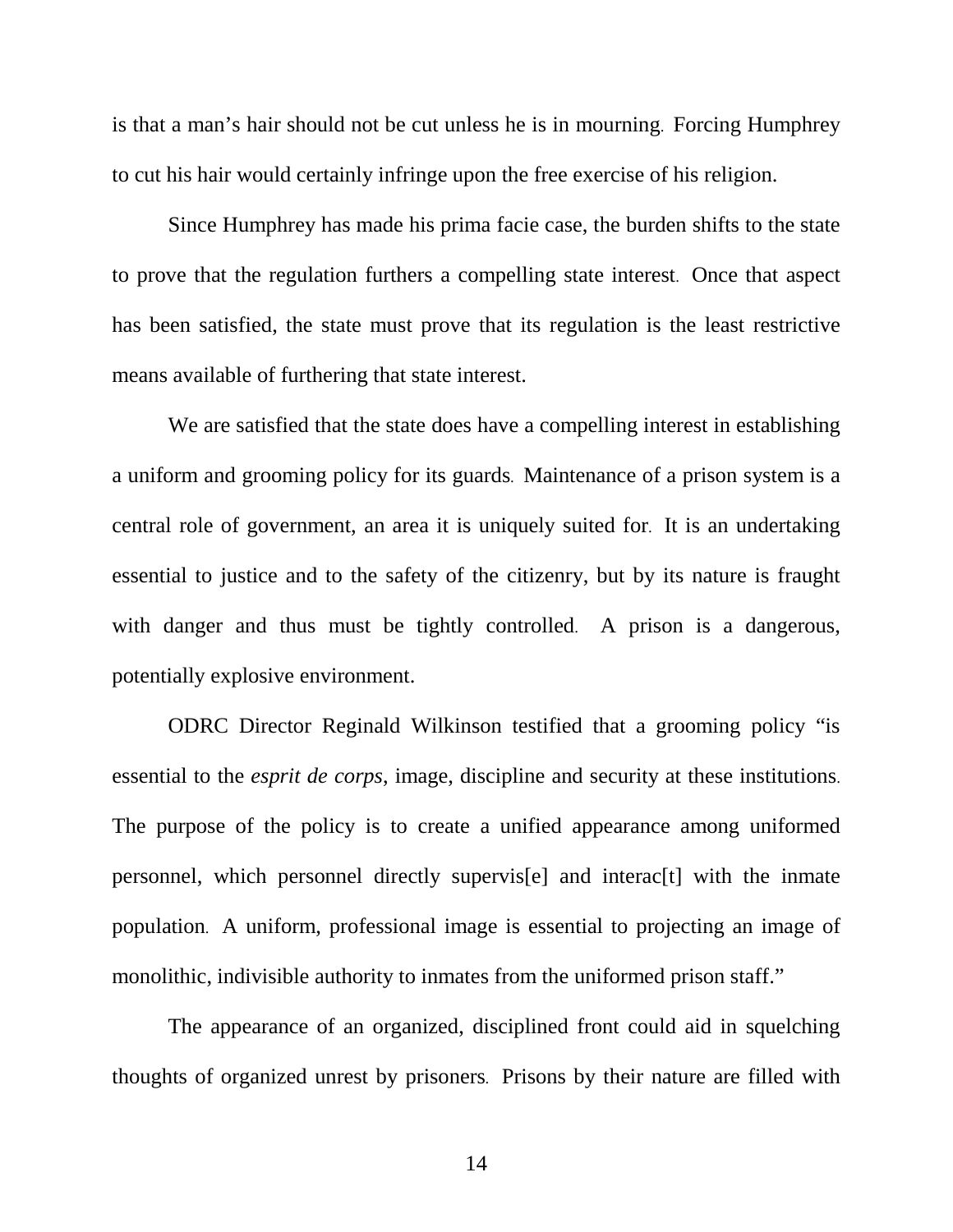is that a man's hair should not be cut unless he is in mourning. Forcing Humphrey to cut his hair would certainly infringe upon the free exercise of his religion.

 Since Humphrey has made his prima facie case, the burden shifts to the state to prove that the regulation furthers a compelling state interest. Once that aspect has been satisfied, the state must prove that its regulation is the least restrictive means available of furthering that state interest.

 We are satisfied that the state does have a compelling interest in establishing a uniform and grooming policy for its guards. Maintenance of a prison system is a central role of government, an area it is uniquely suited for. It is an undertaking essential to justice and to the safety of the citizenry, but by its nature is fraught with danger and thus must be tightly controlled. A prison is a dangerous, potentially explosive environment.

 ODRC Director Reginald Wilkinson testified that a grooming policy "is essential to the *esprit de corps*, image, discipline and security at these institutions. The purpose of the policy is to create a unified appearance among uniformed personnel, which personnel directly supervis[e] and interac[t] with the inmate population. A uniform, professional image is essential to projecting an image of monolithic, indivisible authority to inmates from the uniformed prison staff."

 The appearance of an organized, disciplined front could aid in squelching thoughts of organized unrest by prisoners. Prisons by their nature are filled with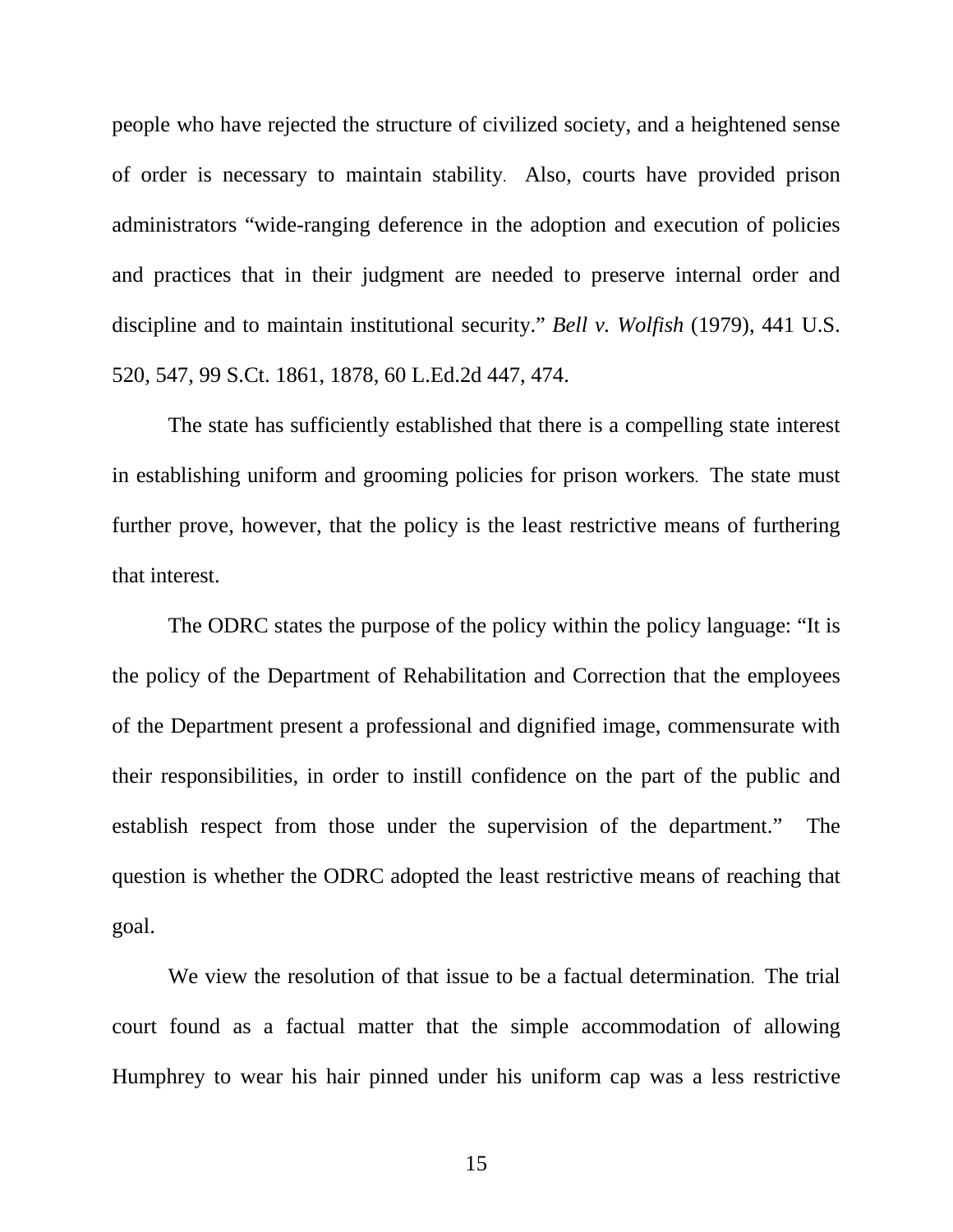people who have rejected the structure of civilized society, and a heightened sense of order is necessary to maintain stability. Also, courts have provided prison administrators "wide-ranging deference in the adoption and execution of policies and practices that in their judgment are needed to preserve internal order and discipline and to maintain institutional security." *Bell v. Wolfish* (1979), 441 U.S. 520, 547, 99 S.Ct. 1861, 1878, 60 L.Ed.2d 447, 474.

 The state has sufficiently established that there is a compelling state interest in establishing uniform and grooming policies for prison workers. The state must further prove, however, that the policy is the least restrictive means of furthering that interest.

 The ODRC states the purpose of the policy within the policy language: "It is the policy of the Department of Rehabilitation and Correction that the employees of the Department present a professional and dignified image, commensurate with their responsibilities, in order to instill confidence on the part of the public and establish respect from those under the supervision of the department." The question is whether the ODRC adopted the least restrictive means of reaching that goal.

 We view the resolution of that issue to be a factual determination. The trial court found as a factual matter that the simple accommodation of allowing Humphrey to wear his hair pinned under his uniform cap was a less restrictive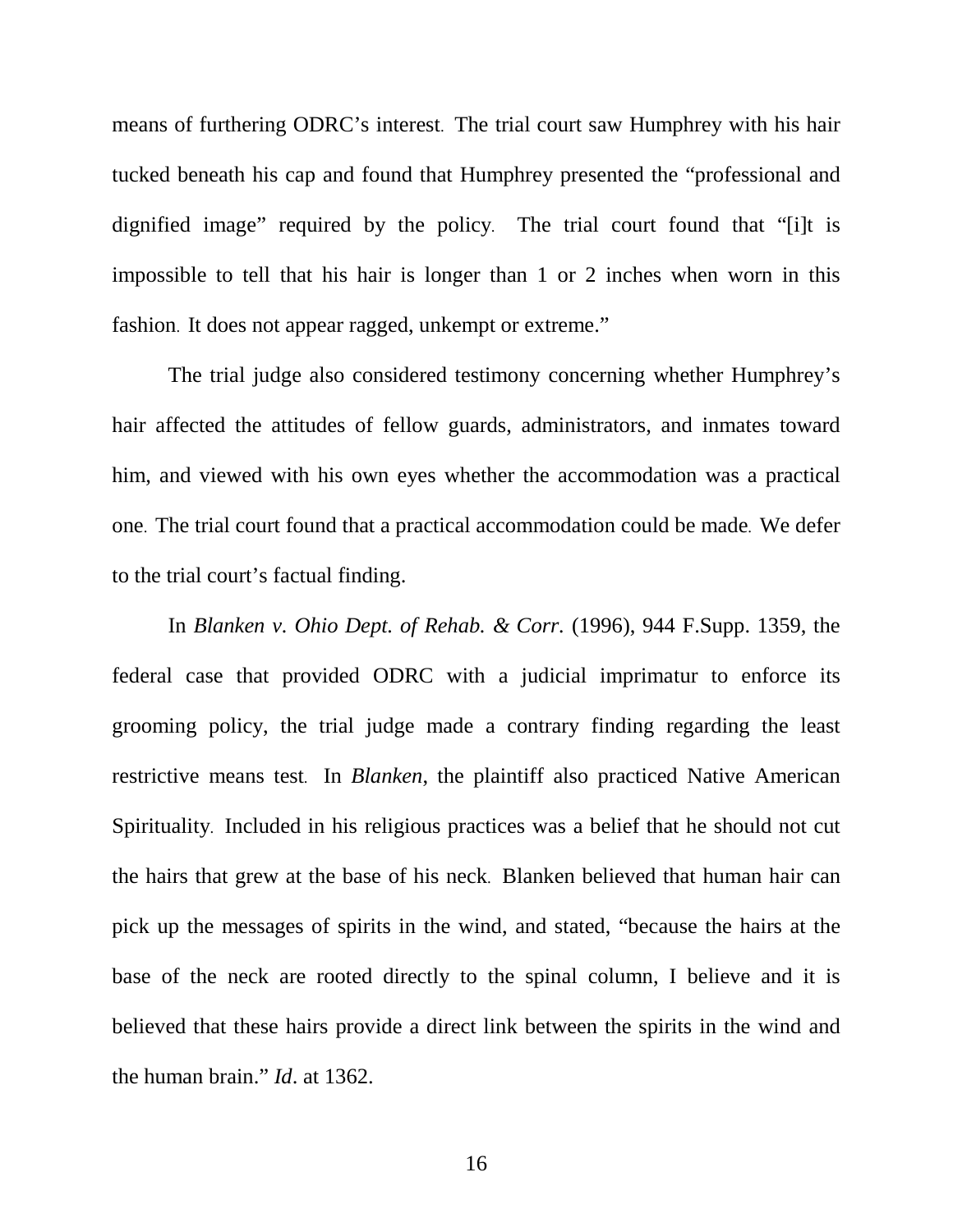means of furthering ODRC's interest. The trial court saw Humphrey with his hair tucked beneath his cap and found that Humphrey presented the "professional and dignified image" required by the policy. The trial court found that "[i]t is impossible to tell that his hair is longer than 1 or 2 inches when worn in this fashion. It does not appear ragged, unkempt or extreme."

 The trial judge also considered testimony concerning whether Humphrey's hair affected the attitudes of fellow guards, administrators, and inmates toward him, and viewed with his own eyes whether the accommodation was a practical one. The trial court found that a practical accommodation could be made. We defer to the trial court's factual finding.

 In *Blanken v. Ohio Dept. of Rehab. & Corr.* (1996), 944 F.Supp. 1359, the federal case that provided ODRC with a judicial imprimatur to enforce its grooming policy, the trial judge made a contrary finding regarding the least restrictive means test. In *Blanken*, the plaintiff also practiced Native American Spirituality. Included in his religious practices was a belief that he should not cut the hairs that grew at the base of his neck. Blanken believed that human hair can pick up the messages of spirits in the wind, and stated, "because the hairs at the base of the neck are rooted directly to the spinal column, I believe and it is believed that these hairs provide a direct link between the spirits in the wind and the human brain." *Id*. at 1362.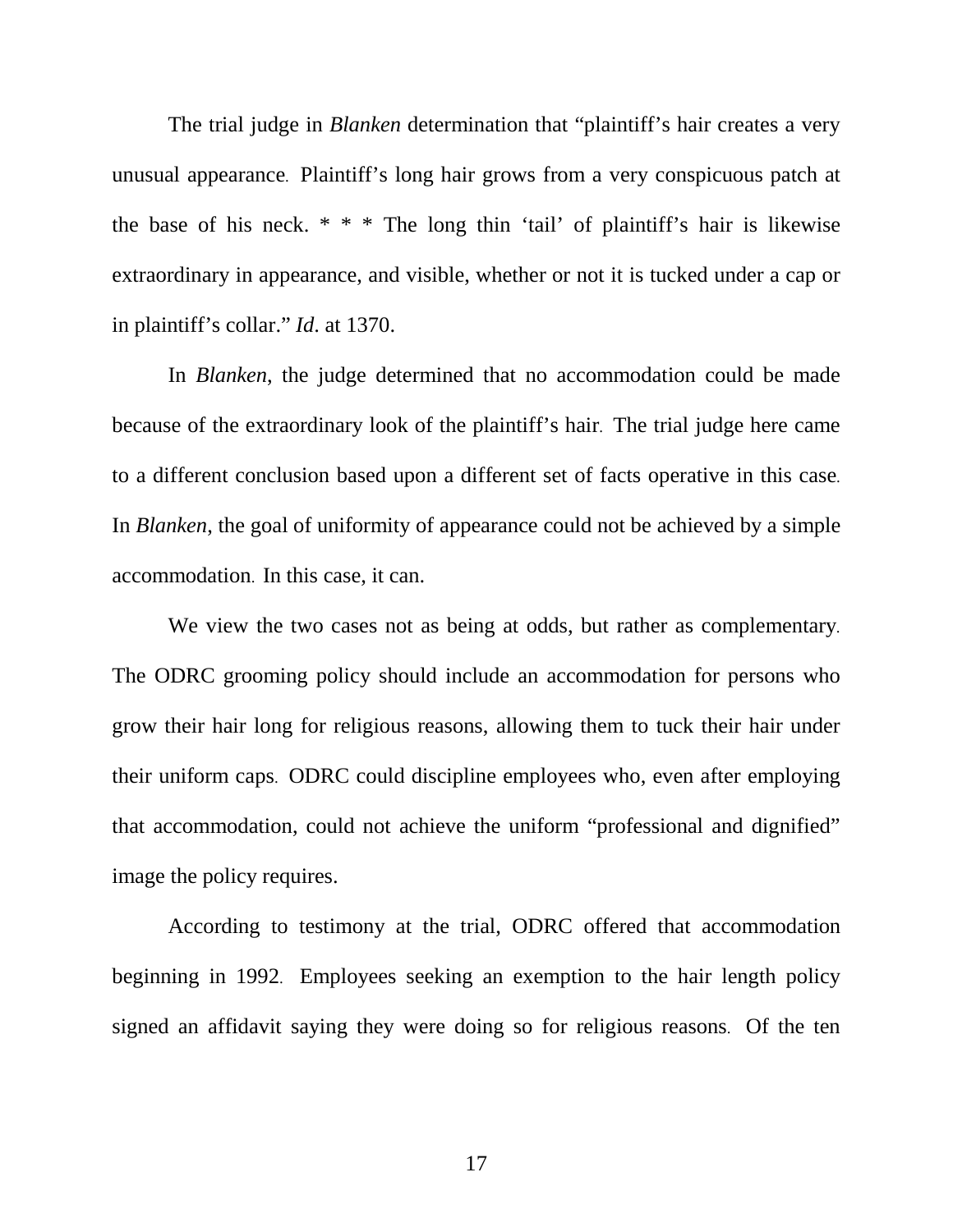The trial judge in *Blanken* determination that "plaintiff's hair creates a very unusual appearance. Plaintiff's long hair grows from a very conspicuous patch at the base of his neck.  $* * *$  The long thin 'tail' of plaintiff's hair is likewise extraordinary in appearance, and visible, whether or not it is tucked under a cap or in plaintiff's collar." *Id*. at 1370.

 In *Blanken*, the judge determined that no accommodation could be made because of the extraordinary look of the plaintiff's hair. The trial judge here came to a different conclusion based upon a different set of facts operative in this case. In *Blanken*, the goal of uniformity of appearance could not be achieved by a simple accommodation. In this case, it can.

 We view the two cases not as being at odds, but rather as complementary. The ODRC grooming policy should include an accommodation for persons who grow their hair long for religious reasons, allowing them to tuck their hair under their uniform caps. ODRC could discipline employees who, even after employing that accommodation, could not achieve the uniform "professional and dignified" image the policy requires.

 According to testimony at the trial, ODRC offered that accommodation beginning in 1992. Employees seeking an exemption to the hair length policy signed an affidavit saying they were doing so for religious reasons. Of the ten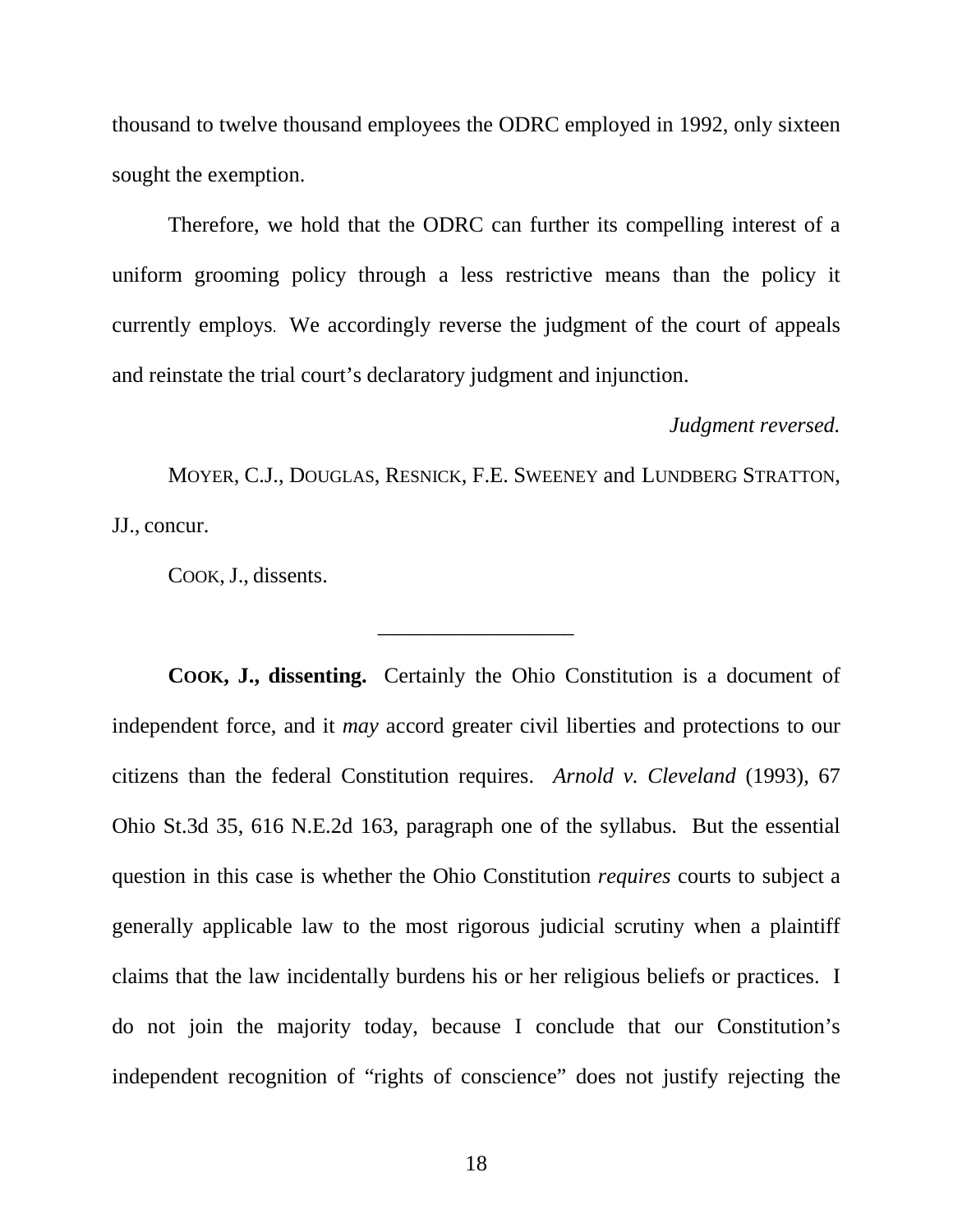thousand to twelve thousand employees the ODRC employed in 1992, only sixteen sought the exemption.

 Therefore, we hold that the ODRC can further its compelling interest of a uniform grooming policy through a less restrictive means than the policy it currently employs. We accordingly reverse the judgment of the court of appeals and reinstate the trial court's declaratory judgment and injunction.

## *Judgment reversed.*

 MOYER, C.J., DOUGLAS, RESNICK, F.E. SWEENEY and LUNDBERG STRATTON, JJ., concur.

\_\_\_\_\_\_\_\_\_\_\_\_\_\_\_\_\_\_

COOK, J., dissents.

 **COOK, J., dissenting.** Certainly the Ohio Constitution is a document of independent force, and it *may* accord greater civil liberties and protections to our citizens than the federal Constitution requires. *Arnold v. Cleveland* (1993), 67 Ohio St.3d 35, 616 N.E.2d 163, paragraph one of the syllabus. But the essential question in this case is whether the Ohio Constitution *requires* courts to subject a generally applicable law to the most rigorous judicial scrutiny when a plaintiff claims that the law incidentally burdens his or her religious beliefs or practices. I do not join the majority today, because I conclude that our Constitution's independent recognition of "rights of conscience" does not justify rejecting the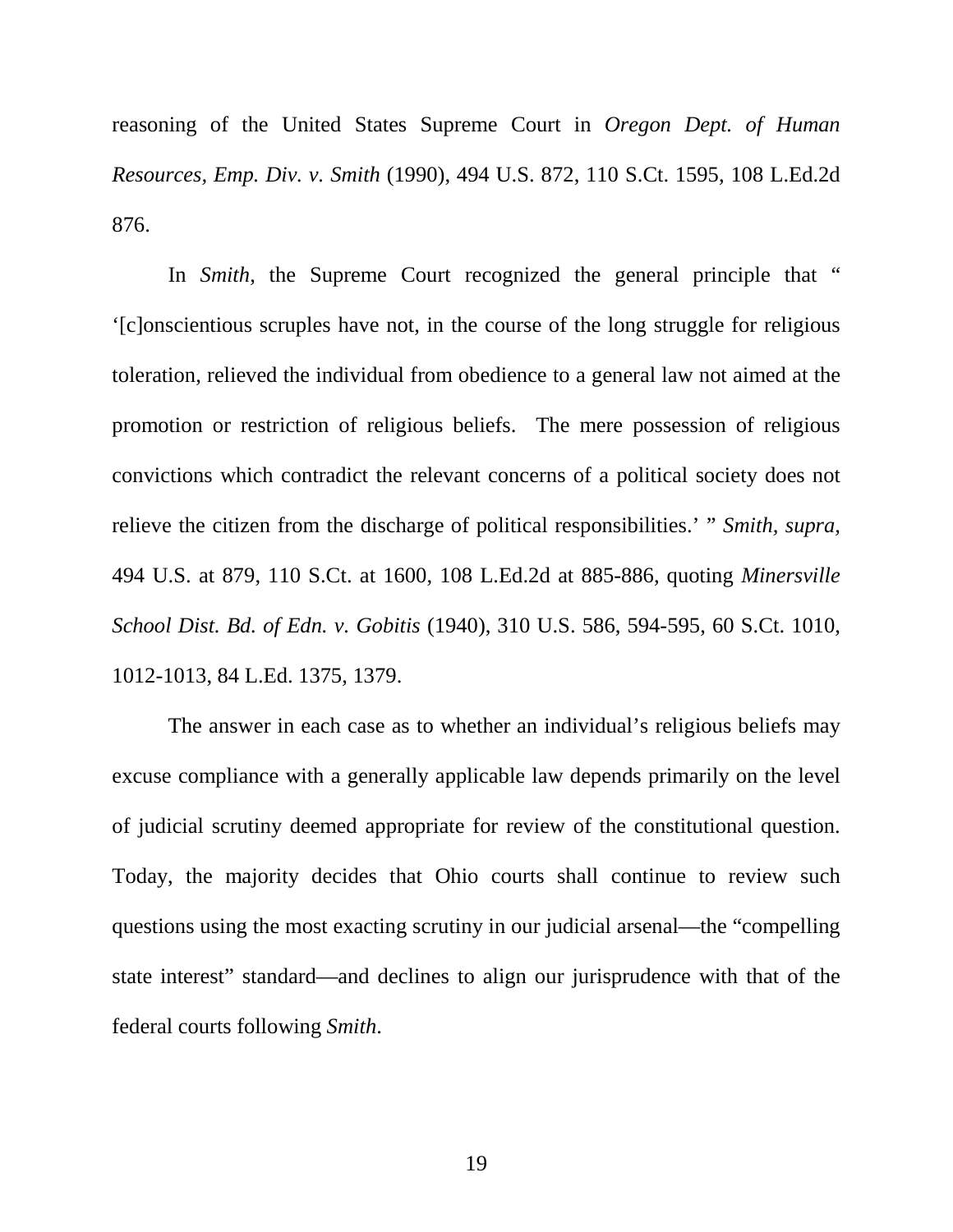reasoning of the United States Supreme Court in *Oregon Dept. of Human Resources, Emp. Div. v. Smith* (1990), 494 U.S. 872, 110 S.Ct. 1595, 108 L.Ed.2d 876.

In *Smith*, the Supreme Court recognized the general principle that " '[c]onscientious scruples have not, in the course of the long struggle for religious toleration, relieved the individual from obedience to a general law not aimed at the promotion or restriction of religious beliefs. The mere possession of religious convictions which contradict the relevant concerns of a political society does not relieve the citizen from the discharge of political responsibilities.' " *Smith, supra,* 494 U.S. at 879, 110 S.Ct. at 1600, 108 L.Ed.2d at 885-886, quoting *Minersville School Dist. Bd. of Edn. v. Gobitis* (1940), 310 U.S. 586, 594-595, 60 S.Ct. 1010, 1012-1013, 84 L.Ed. 1375, 1379.

 The answer in each case as to whether an individual's religious beliefs may excuse compliance with a generally applicable law depends primarily on the level of judicial scrutiny deemed appropriate for review of the constitutional question. Today, the majority decides that Ohio courts shall continue to review such questions using the most exacting scrutiny in our judicial arsenal—the "compelling state interest" standard—and declines to align our jurisprudence with that of the federal courts following *Smith*.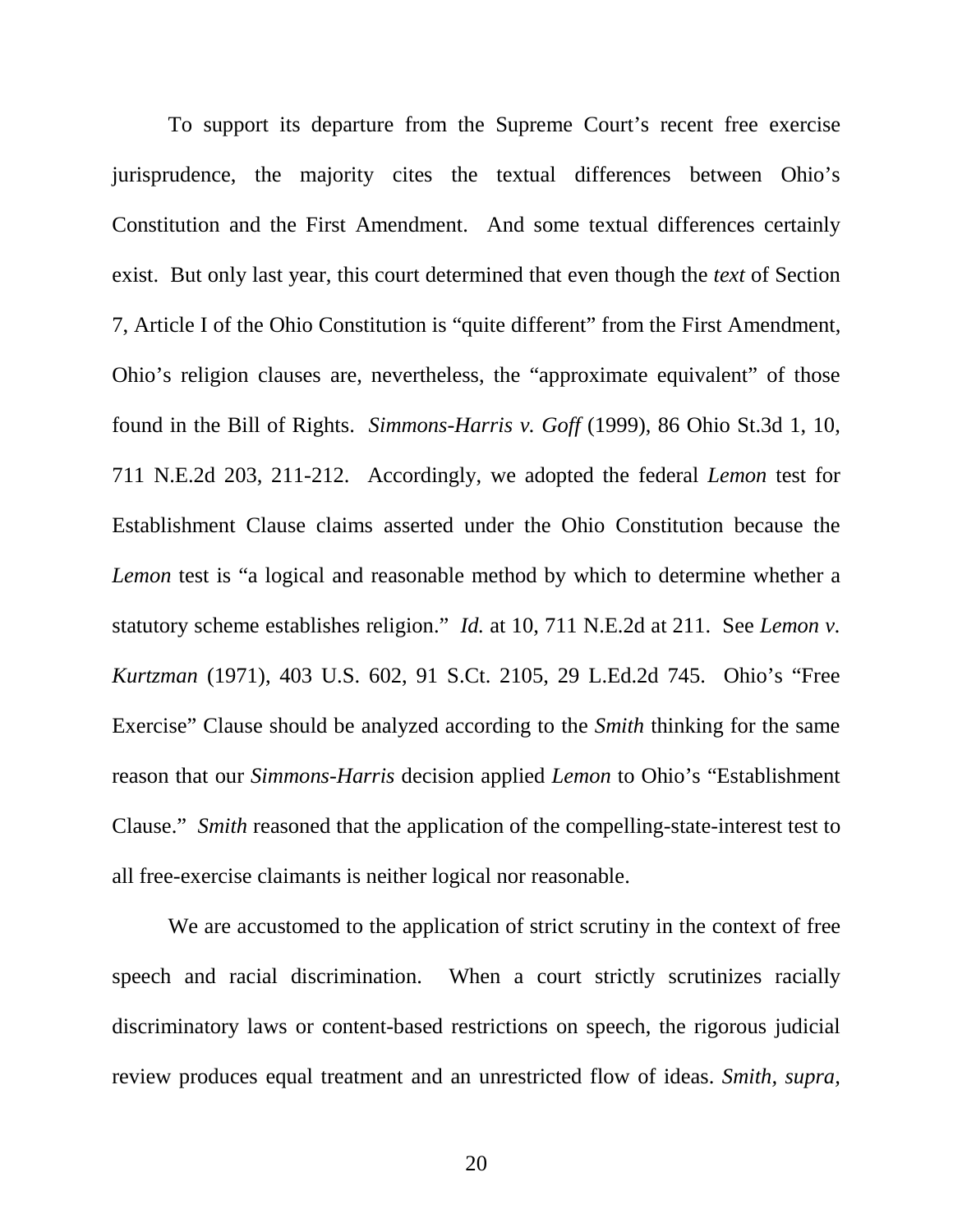To support its departure from the Supreme Court's recent free exercise jurisprudence, the majority cites the textual differences between Ohio's Constitution and the First Amendment. And some textual differences certainly exist. But only last year, this court determined that even though the *text* of Section 7, Article I of the Ohio Constitution is "quite different" from the First Amendment, Ohio's religion clauses are, nevertheless, the "approximate equivalent" of those found in the Bill of Rights. *Simmons-Harris v. Goff* (1999), 86 Ohio St.3d 1, 10, 711 N.E.2d 203, 211-212. Accordingly, we adopted the federal *Lemon* test for Establishment Clause claims asserted under the Ohio Constitution because the *Lemon* test is "a logical and reasonable method by which to determine whether a statutory scheme establishes religion." *Id.* at 10, 711 N.E.2d at 211. See *Lemon v. Kurtzman* (1971), 403 U.S. 602, 91 S.Ct. 2105, 29 L.Ed.2d 745. Ohio's "Free Exercise" Clause should be analyzed according to the *Smith* thinking for the same reason that our *Simmons-Harris* decision applied *Lemon* to Ohio's "Establishment Clause." *Smith* reasoned that the application of the compelling-state-interest test to all free-exercise claimants is neither logical nor reasonable.

 We are accustomed to the application of strict scrutiny in the context of free speech and racial discrimination. When a court strictly scrutinizes racially discriminatory laws or content-based restrictions on speech, the rigorous judicial review produces equal treatment and an unrestricted flow of ideas. *Smith, supra,*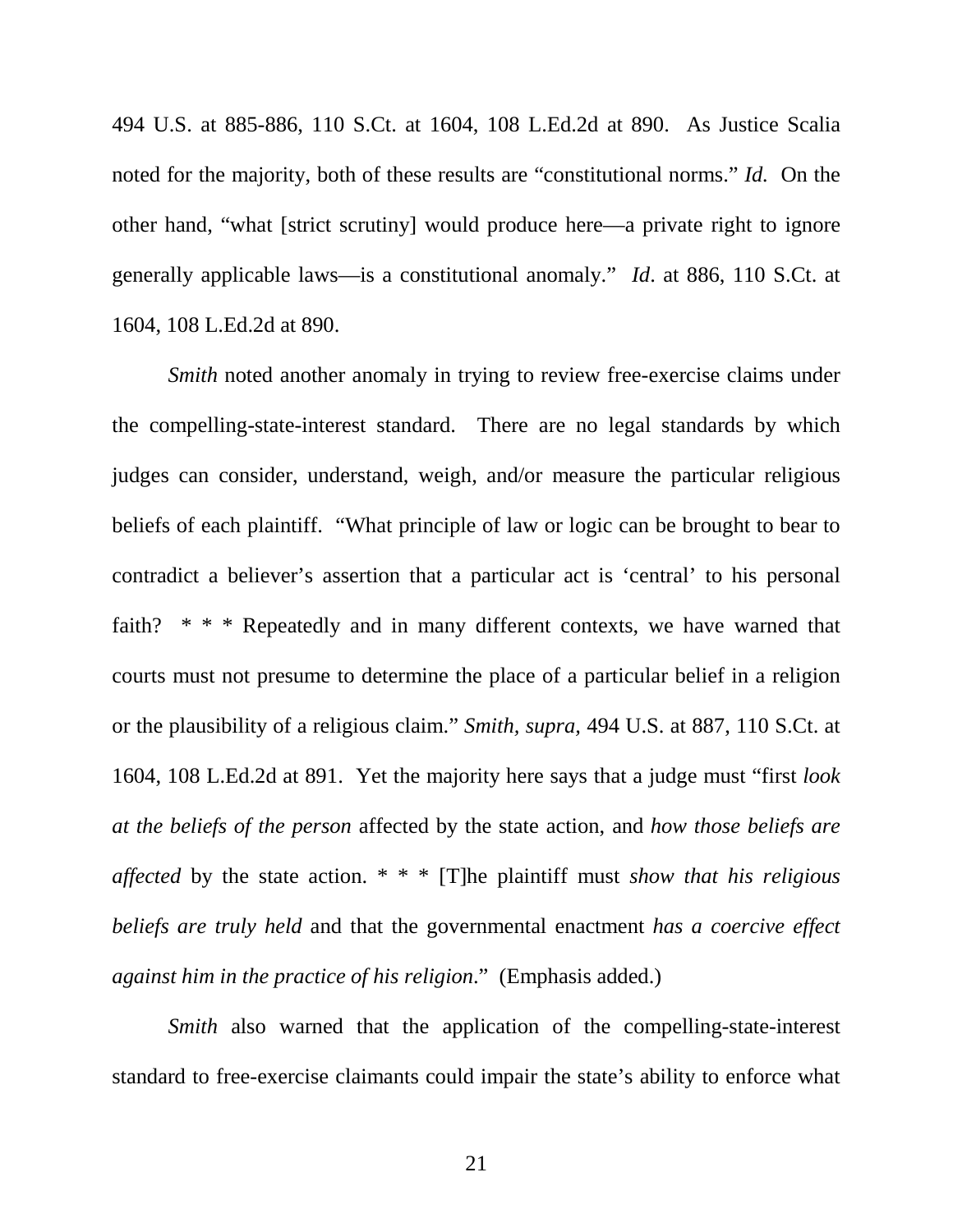494 U.S. at 885-886, 110 S.Ct. at 1604, 108 L.Ed.2d at 890. As Justice Scalia noted for the majority, both of these results are "constitutional norms." *Id.* On the other hand, "what [strict scrutiny] would produce here—a private right to ignore generally applicable laws—is a constitutional anomaly." *Id*. at 886, 110 S.Ct. at 1604, 108 L.Ed.2d at 890.

*Smith* noted another anomaly in trying to review free-exercise claims under the compelling-state-interest standard. There are no legal standards by which judges can consider, understand, weigh, and/or measure the particular religious beliefs of each plaintiff. "What principle of law or logic can be brought to bear to contradict a believer's assertion that a particular act is 'central' to his personal faith? \* \* \* Repeatedly and in many different contexts, we have warned that courts must not presume to determine the place of a particular belief in a religion or the plausibility of a religious claim." *Smith, supra,* 494 U.S. at 887, 110 S.Ct. at 1604, 108 L.Ed.2d at 891. Yet the majority here says that a judge must "first *look at the beliefs of the person* affected by the state action, and *how those beliefs are affected* by the state action. \* \* \* [T]he plaintiff must *show that his religious beliefs are truly held* and that the governmental enactment *has a coercive effect against him in the practice of his religion*." (Emphasis added.)

*Smith* also warned that the application of the compelling-state-interest standard to free-exercise claimants could impair the state's ability to enforce what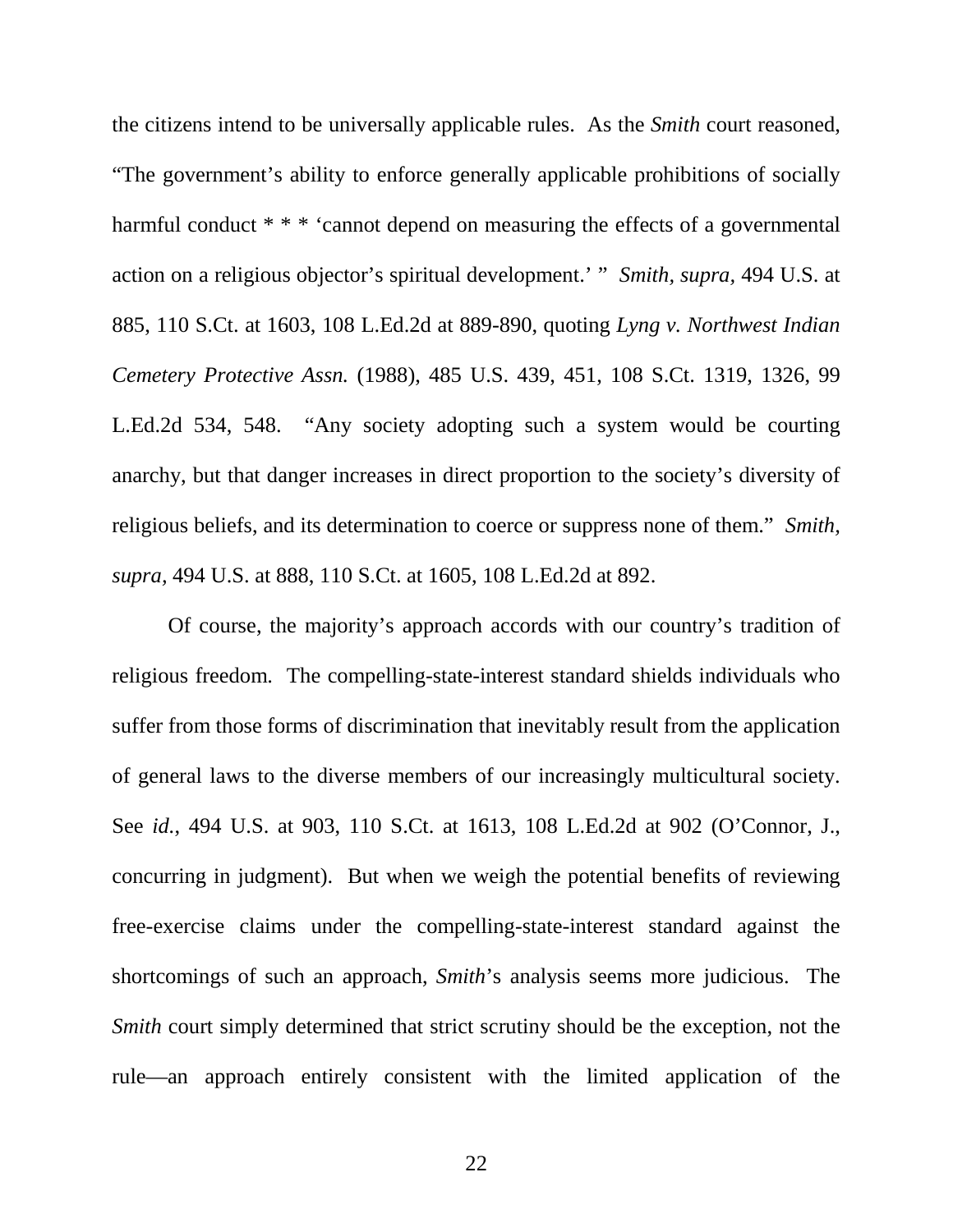the citizens intend to be universally applicable rules. As the *Smith* court reasoned, "The government's ability to enforce generally applicable prohibitions of socially harmful conduct \* \* \* 'cannot depend on measuring the effects of a governmental action on a religious objector's spiritual development.' " *Smith, supra,* 494 U.S. at 885, 110 S.Ct. at 1603, 108 L.Ed.2d at 889-890, quoting *Lyng v. Northwest Indian Cemetery Protective Assn.* (1988), 485 U.S. 439, 451, 108 S.Ct. 1319, 1326, 99 L.Ed.2d 534, 548. "Any society adopting such a system would be courting anarchy, but that danger increases in direct proportion to the society's diversity of religious beliefs, and its determination to coerce or suppress none of them." *Smith, supra,* 494 U.S. at 888, 110 S.Ct. at 1605, 108 L.Ed.2d at 892.

 Of course, the majority's approach accords with our country's tradition of religious freedom. The compelling-state-interest standard shields individuals who suffer from those forms of discrimination that inevitably result from the application of general laws to the diverse members of our increasingly multicultural society. See *id.*, 494 U.S. at 903, 110 S.Ct. at 1613, 108 L.Ed.2d at 902 (O'Connor, J., concurring in judgment). But when we weigh the potential benefits of reviewing free-exercise claims under the compelling-state-interest standard against the shortcomings of such an approach, *Smith*'s analysis seems more judicious. The *Smith* court simply determined that strict scrutiny should be the exception, not the rule—an approach entirely consistent with the limited application of the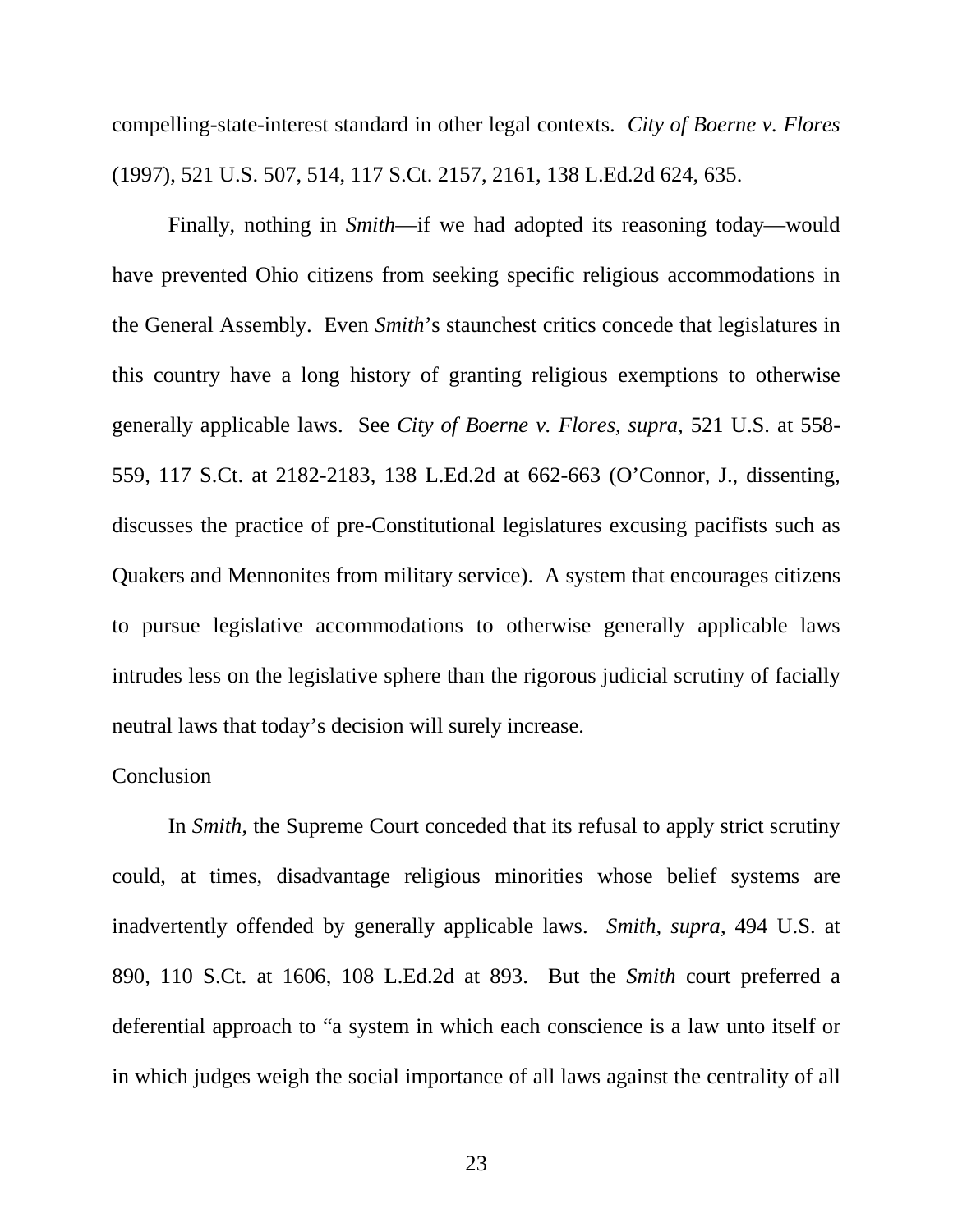compelling-state-interest standard in other legal contexts. *City of Boerne v. Flores* (1997), 521 U.S. 507, 514, 117 S.Ct. 2157, 2161, 138 L.Ed.2d 624, 635.

 Finally, nothing in *Smith*—if we had adopted its reasoning today—would have prevented Ohio citizens from seeking specific religious accommodations in the General Assembly. Even *Smith*'s staunchest critics concede that legislatures in this country have a long history of granting religious exemptions to otherwise generally applicable laws. See *City of Boerne v. Flores, supra,* 521 U.S. at 558- 559, 117 S.Ct. at 2182-2183, 138 L.Ed.2d at 662-663 (O'Connor, J., dissenting, discusses the practice of pre-Constitutional legislatures excusing pacifists such as Quakers and Mennonites from military service). A system that encourages citizens to pursue legislative accommodations to otherwise generally applicable laws intrudes less on the legislative sphere than the rigorous judicial scrutiny of facially neutral laws that today's decision will surely increase.

## **Conclusion**

 In *Smith*, the Supreme Court conceded that its refusal to apply strict scrutiny could, at times, disadvantage religious minorities whose belief systems are inadvertently offended by generally applicable laws. *Smith, supra*, 494 U.S. at 890, 110 S.Ct. at 1606, 108 L.Ed.2d at 893. But the *Smith* court preferred a deferential approach to "a system in which each conscience is a law unto itself or in which judges weigh the social importance of all laws against the centrality of all